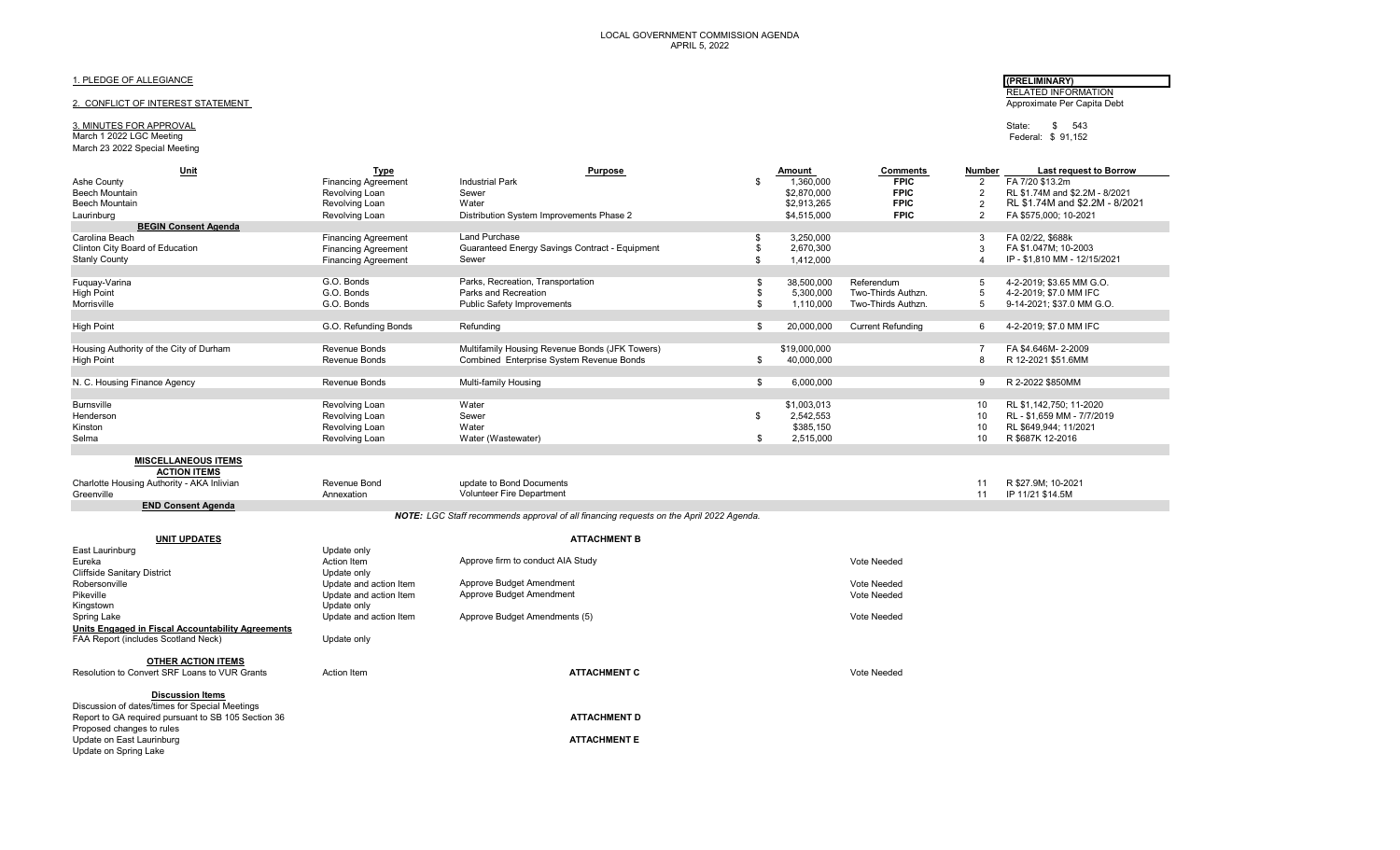#### 1. PLEDGE OF ALLEGIANCE **(PRELIMINARY)**

#### 2. CONFLICT OF INTEREST STATEMENT

**Discussion Items** Discussion of dates/times for Special Meetings

Proposed changes to rules

# 3. MINUTES FOR APPROVAL State: \$ 543 \$ 543<br>March 1 2022 LGC Meeting \$ 91,152 \$ 591,152 \$ 91,152 \$ 91,152 \$ 91,152 \$ 91,152 \$ 91,152 \$ 91,152 \$ 91,152 \$ 9

## March 23 2022 Special Meeting

RELATED INFORMATION<br>Approximate Per Capita Debt

Federal: \$ 91,152

| Unit                                              | <b>Type</b>                | Purpose                                                                                 | Amount           | <b>Comments</b>          | Number         | <b>Last request to Borrow</b>  |
|---------------------------------------------------|----------------------------|-----------------------------------------------------------------------------------------|------------------|--------------------------|----------------|--------------------------------|
| Ashe County                                       | <b>Financing Agreement</b> | <b>Industrial Park</b>                                                                  | \$<br>1,360,000  | <b>FPIC</b>              | $\overline{2}$ | FA 7/20 \$13.2m                |
| Beech Mountain                                    | Revolving Loan             | Sewer                                                                                   | \$2,870,000      | <b>FPIC</b>              | $\overline{2}$ | RL \$1.74M and \$2.2M - 8/2021 |
| Beech Mountain                                    | Revolving Loan             | Water                                                                                   | \$2,913,265      | <b>FPIC</b>              | $\overline{2}$ | RL \$1.74M and \$2.2M - 8/2021 |
| Laurinburg                                        | Revolving Loan             | Distribution System Improvements Phase 2                                                | \$4,515,000      | <b>FPIC</b>              | $\overline{2}$ | FA \$575,000; 10-2021          |
| <b>BEGIN Consent Agenda</b>                       |                            |                                                                                         |                  |                          |                |                                |
| Carolina Beach                                    | <b>Financing Agreement</b> | <b>Land Purchase</b>                                                                    | \$<br>3,250,000  |                          | 3              | FA 02/22, \$688k               |
| Clinton City Board of Education                   | <b>Financing Agreement</b> | Guaranteed Energy Savings Contract - Equipment                                          | \$<br>2,670,300  |                          | $\mathcal{B}$  | FA \$1.047M: 10-2003           |
| <b>Stanly County</b>                              | <b>Financing Agreement</b> | Sewer                                                                                   | \$<br>1,412,000  |                          | $\overline{4}$ | IP - \$1.810 MM - 12/15/2021   |
|                                                   |                            |                                                                                         |                  |                          |                |                                |
| Fuquay-Varina                                     | G.O. Bonds                 | Parks, Recreation, Transportation                                                       | \$<br>38,500,000 | Referendum               | .5             | 4-2-2019; \$3.65 MM G.O.       |
| <b>High Point</b>                                 | G.O. Bonds                 | Parks and Recreation                                                                    | \$<br>5,300,000  | Two-Thirds Authzn.       | 5              | 4-2-2019; \$7.0 MM IFC         |
| Morrisville                                       | G.O. Bonds                 | <b>Public Safety Improvements</b>                                                       | \$<br>1,110,000  | Two-Thirds Authzn.       | 5              | 9-14-2021; \$37.0 MM G.O.      |
|                                                   |                            |                                                                                         |                  |                          |                |                                |
| <b>High Point</b>                                 | G.O. Refunding Bonds       | Refunding                                                                               | \$<br>20.000.000 | <b>Current Refunding</b> | 6              | 4-2-2019: \$7.0 MM IFC         |
|                                                   |                            |                                                                                         |                  |                          |                |                                |
| Housing Authority of the City of Durham           | Revenue Bonds              | Multifamily Housing Revenue Bonds (JFK Towers)                                          | \$19,000,000     |                          | -7             | FA \$4.646M-2-2009             |
| <b>High Point</b>                                 | Revenue Bonds              | Combined Enterprise System Revenue Bonds                                                | \$<br>40,000,000 |                          | 8              | R 12-2021 \$51.6MM             |
|                                                   |                            |                                                                                         |                  |                          |                |                                |
| N. C. Housing Finance Agency                      | Revenue Bonds              | Multi-family Housing                                                                    | \$<br>6,000,000  |                          | 9              | R 2-2022 \$850MM               |
|                                                   |                            |                                                                                         |                  |                          |                |                                |
| <b>Burnsville</b>                                 | Revolving Loan             | Water                                                                                   | \$1,003,013      |                          | 10             | RL \$1,142,750; 11-2020        |
| Henderson                                         | Revolving Loan             | Sewer                                                                                   | \$<br>2,542,553  |                          | 10             | RL - \$1.659 MM - 7/7/2019     |
| Kinston                                           | Revolving Loan             | Water                                                                                   | \$385,150        |                          | 10             | RL \$649,944; 11/2021          |
| Selma                                             | Revolving Loan             | Water (Wastewater)                                                                      | \$<br>2,515,000  |                          | 10             | R \$687K 12-2016               |
|                                                   |                            |                                                                                         |                  |                          |                |                                |
| <b>MISCELLANEOUS ITEMS</b>                        |                            |                                                                                         |                  |                          |                |                                |
| <b>ACTION ITEMS</b>                               |                            |                                                                                         |                  |                          |                |                                |
| Charlotte Housing Authority - AKA Inlivian        | Revenue Bond               | update to Bond Documents                                                                |                  |                          | 11             | R \$27.9M; 10-2021             |
| Greenville                                        | Annexation                 | <b>Volunteer Fire Department</b>                                                        |                  |                          | 11             | IP 11/21 \$14.5M               |
| <b>END Consent Agenda</b>                         |                            |                                                                                         |                  |                          |                |                                |
|                                                   |                            | NOTE: LGC Staff recommends approval of all financing requests on the April 2022 Agenda. |                  |                          |                |                                |
|                                                   |                            |                                                                                         |                  |                          |                |                                |
| <b>UNIT UPDATES</b>                               |                            | <b>ATTACHMENT B</b>                                                                     |                  |                          |                |                                |
| East Laurinburg                                   | Update only                |                                                                                         |                  |                          |                |                                |
| Eureka                                            | Action Item                | Approve firm to conduct AIA Study                                                       |                  | Vote Needed              |                |                                |
| <b>Cliffside Sanitary District</b>                | Update only                |                                                                                         |                  |                          |                |                                |
| Robersonville                                     | Update and action Item     | Approve Budget Amendment                                                                |                  | Vote Needed              |                |                                |
| Pikeville                                         | Update and action Item     | Approve Budget Amendment                                                                |                  | Vote Needed              |                |                                |
| Kingstown                                         | Update only                |                                                                                         |                  |                          |                |                                |
| Spring Lake                                       | Update and action Item     | Approve Budget Amendments (5)                                                           |                  | Vote Needed              |                |                                |
| Units Engaged in Fiscal Accountability Agreements |                            |                                                                                         |                  |                          |                |                                |
| FAA Report (includes Scotland Neck)               | Update only                |                                                                                         |                  |                          |                |                                |
|                                                   |                            |                                                                                         |                  |                          |                |                                |
| <b>OTHER ACTION ITEMS</b>                         |                            |                                                                                         |                  |                          |                |                                |

Resolution to Convert SRF Loans to VUR Grants **Action Item Action Item ATTACHMENT C** And ATTACHMENT C Vote Needed

Report to GA required pursuant to SB 105 Section 36 **ATTACHMENT D ATTACHMENT D** 

Update on East Laurinburg **ATTACHMENT E** Update on Spring Lake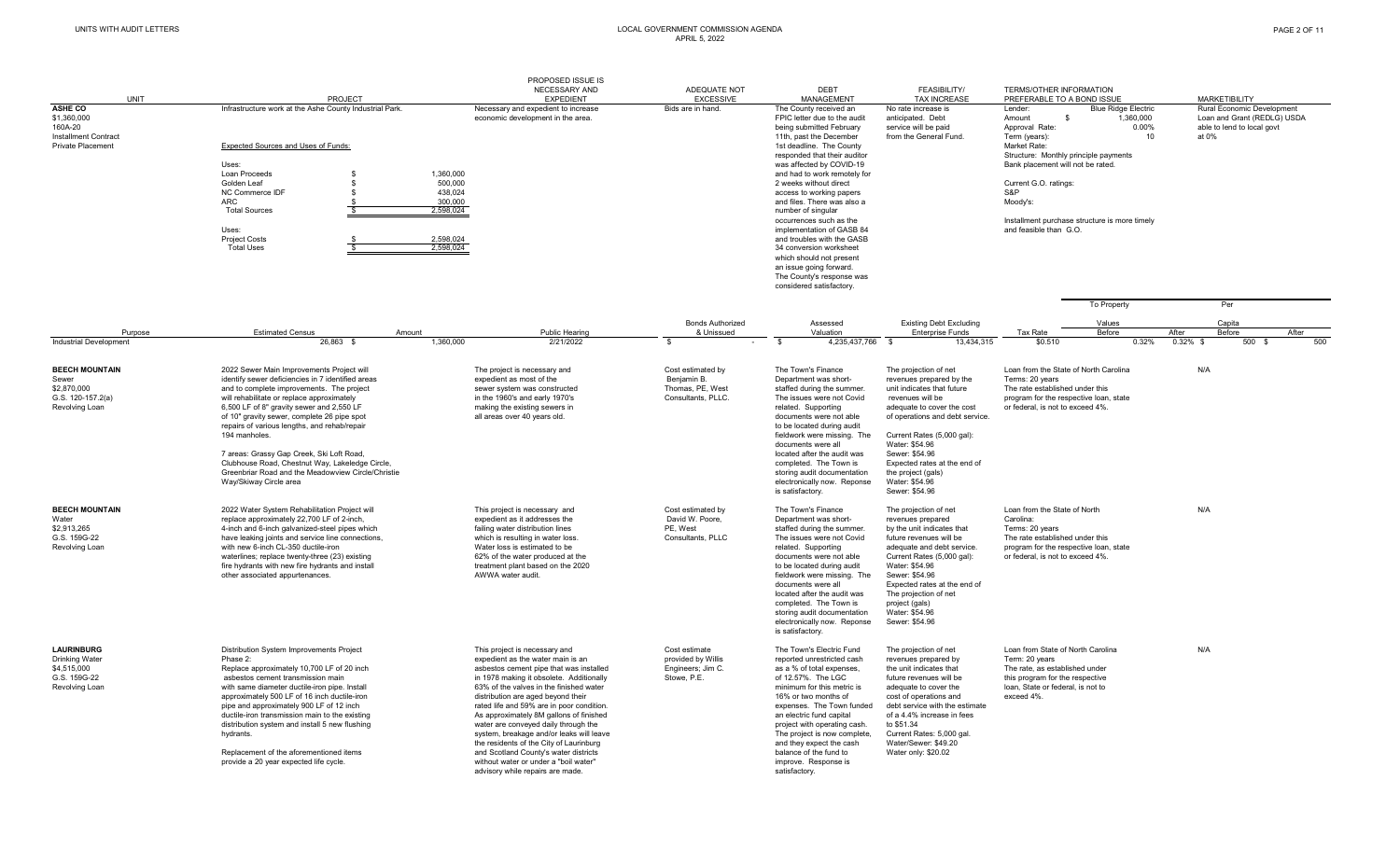#### UNITS WITH AUDIT LETTERS LOCAL GOVERNMENT COMMISSION AGENDA APRIL 5, 2022

| <b>UNIT</b>                                                                                 | PROJECT                                                                                                                                                                                                                                                                                                                                                                                                                                                                                                                                | PROPOSED ISSUE IS<br>NECESSARY AND<br><b>EXPEDIENT</b>                                                                                                                                                                                                                                                                                                                                                                                                                                                                                                                                  | ADEQUATE NOT<br><b>EXCESSIVE</b>                                           | <b>DEBT</b><br><b>MANAGEMENT</b>                                                                                                                                                                                                                                                                                                                                                                                                                                                                                                                                                  | <b>FEASIBILITY/</b><br><b>TAX INCREASE</b>                                                                                                                                                                                                                                                                                       | TERMS/OTHER INFORMATION<br>PREFERABLE TO A BOND ISSUE                                                                                                                                                                                                                                                                                         | <b>MARKETIBILITY</b>                                                                             |
|---------------------------------------------------------------------------------------------|----------------------------------------------------------------------------------------------------------------------------------------------------------------------------------------------------------------------------------------------------------------------------------------------------------------------------------------------------------------------------------------------------------------------------------------------------------------------------------------------------------------------------------------|-----------------------------------------------------------------------------------------------------------------------------------------------------------------------------------------------------------------------------------------------------------------------------------------------------------------------------------------------------------------------------------------------------------------------------------------------------------------------------------------------------------------------------------------------------------------------------------------|----------------------------------------------------------------------------|-----------------------------------------------------------------------------------------------------------------------------------------------------------------------------------------------------------------------------------------------------------------------------------------------------------------------------------------------------------------------------------------------------------------------------------------------------------------------------------------------------------------------------------------------------------------------------------|----------------------------------------------------------------------------------------------------------------------------------------------------------------------------------------------------------------------------------------------------------------------------------------------------------------------------------|-----------------------------------------------------------------------------------------------------------------------------------------------------------------------------------------------------------------------------------------------------------------------------------------------------------------------------------------------|--------------------------------------------------------------------------------------------------|
| ASHE CO<br>\$1,360,000<br>160A-20<br>Installment Contract<br><b>Private Placement</b>       | Infrastructure work at the Ashe County Industrial Park.<br>Expected Sources and Uses of Funds:<br>Uses:<br>Loan Proceeds<br>\$.<br>Golden Leaf<br>NC Commerce IDF<br>ARC<br><b>Total Sources</b><br>Uses:<br><b>Project Costs</b><br><b>Total Uses</b>                                                                                                                                                                                                                                                                                 | Necessary and expedient to increase<br>economic development in the area.<br>1,360,000<br>500,000<br>438,024<br>300,000<br>2.598.024<br>2,598,024<br>2,598,024                                                                                                                                                                                                                                                                                                                                                                                                                           | Bids are in hand.                                                          | The County received an<br>FPIC letter due to the audit<br>being submitted February<br>11th, past the December<br>1st deadline. The County<br>responded that their auditor<br>was affected by COVID-19<br>and had to work remotely for<br>2 weeks without direct<br>access to working papers<br>and files. There was also a<br>number of singular<br>occurrences such as the<br>implementation of GASB 84<br>and troubles with the GASB<br>34 conversion worksheet<br>which should not present<br>an issue going forward.<br>The County's response was<br>considered satisfactory. | No rate increase is<br>anticipated. Debt<br>service will be paid<br>from the General Fund.                                                                                                                                                                                                                                       | <b>Blue Ridge Electric</b><br>Lender:<br>Amount<br>1.360.000<br>-\$<br>Approval Rate:<br>$0.00\%$<br>Term (years):<br>10<br>Market Rate:<br>Structure: Monthly principle payments<br>Bank placement will not be rated.<br>Current G.O. ratings:<br>S&P<br>Moody's:<br>Installment purchase structure is more timely<br>and feasible than G.O. | Rural Economic Development<br>Loan and Grant (REDLG) USDA<br>able to lend to local govt<br>at 0% |
| Purpose<br><b>Industrial Development</b>                                                    | <b>Estimated Census</b><br>Amount<br>26.863 \$                                                                                                                                                                                                                                                                                                                                                                                                                                                                                         | Public Hearing<br>2/21/2022<br>1.360.000                                                                                                                                                                                                                                                                                                                                                                                                                                                                                                                                                | <b>Bonds Authorized</b><br>& Unissued<br>\$                                | Assessed<br>Valuation<br>4.235.437.766<br>- \$                                                                                                                                                                                                                                                                                                                                                                                                                                                                                                                                    | <b>Existing Debt Excluding</b><br><b>Enterprise Funds</b><br>13.434.315<br>- \$                                                                                                                                                                                                                                                  | <b>To Property</b><br>Values<br>Tax Rate<br>Before<br>\$0.510<br>0.32%                                                                                                                                                                                                                                                                        | Per<br>Capita<br>After<br>Before<br>After<br>$0.32\%$ \$<br>500 \$<br>500                        |
| <b>BEECH MOUNTAIN</b><br>Sewer<br>\$2,870,000<br>G.S. 120-157.2(a)<br>Revolving Loan        | 2022 Sewer Main Improvements Project will<br>identify sewer deficiencies in 7 identified areas<br>and to complete improvements. The project<br>will rehabilitate or replace approximately<br>6,500 LF of 8" gravity sewer and 2,550 LF<br>of 10" gravity sewer, complete 26 pipe spot<br>repairs of various lengths, and rehab/repair<br>194 manholes.<br>7 areas: Grassy Gap Creek, Ski Loft Road,<br>Clubhouse Road, Chestnut Way, Lakeledge Circle,<br>Greenbriar Road and the Meadowview Circle/Christie<br>Way/Skiway Circle area | The project is necessary and<br>expedient as most of the<br>sewer system was constructed<br>in the 1960's and early 1970's<br>making the existing sewers in<br>all areas over 40 years old.                                                                                                                                                                                                                                                                                                                                                                                             | Cost estimated by<br>Beniamin B.<br>Thomas, PE, West<br>Consultants, PLLC. | The Town's Finance<br>Department was short-<br>staffed during the summer.<br>The issues were not Covid<br>related. Supporting<br>documents were not able<br>to be located during audit<br>fieldwork were missing. The<br>documents were all<br>located after the audit was<br>completed. The Town is<br>storing audit documentation<br>electronically now. Reponse<br>is satisfactory.                                                                                                                                                                                            | The projection of net<br>revenues prepared by the<br>unit indicates that future<br>revenues will be<br>adequate to cover the cost<br>of operations and debt service.<br>Current Rates (5,000 gal):<br>Water: \$54.96<br>Sewer: \$54.96<br>Expected rates at the end of<br>the project (gals)<br>Water: \$54.96<br>Sewer: \$54.96 | Loan from the State of North Carolina<br>Terms: 20 years<br>The rate established under this<br>program for the respective loan, state<br>or federal, is not to exceed 4%.                                                                                                                                                                     | N/A                                                                                              |
| <b>BEECH MOUNTAIN</b><br>Water<br>\$2,913,265<br>G.S. 159G-22<br>Revolving Loan             | 2022 Water System Rehabilitation Project will<br>replace approximately 22,700 LF of 2-inch,<br>4-inch and 6-inch galvanized-steel pipes which<br>have leaking joints and service line connections,<br>with new 6-inch CL-350 ductile-iron<br>waterlines; replace twenty-three (23) existing<br>fire hydrants with new fire hydrants and install<br>other associated appurtenances.                                                                                                                                                     | This project is necessary and<br>expedient as it addresses the<br>failing water distribution lines<br>which is resulting in water loss.<br>Water loss is estimated to be<br>62% of the water produced at the<br>treatment plant based on the 2020<br>AWWA water audit.                                                                                                                                                                                                                                                                                                                  | Cost estimated by<br>David W. Poore,<br>PE, West<br>Consultants, PLLC      | The Town's Finance<br>Department was short-<br>staffed during the summer.<br>The issues were not Covid<br>related. Supporting<br>documents were not able<br>to be located during audit<br>fieldwork were missing. The<br>documents were all<br>located after the audit was<br>completed. The Town is<br>storing audit documentation<br>electronically now. Reponse<br>is satisfactory.                                                                                                                                                                                            | The projection of net<br>revenues prepared<br>by the unit indicates that<br>future revenues will be<br>adequate and debt service.<br>Current Rates (5,000 gal):<br>Water: \$54.96<br>Sewer: \$54.96<br>Expected rates at the end of<br>The projection of net<br>project (gals)<br>Water: \$54.96<br>Sewer: \$54.96               | Loan from the State of North<br>Carolina:<br>Terms: 20 years<br>The rate established under this<br>program for the respective loan, state<br>or federal, is not to exceed 4%.                                                                                                                                                                 | N/A                                                                                              |
| <b>LAURINBURG</b><br><b>Drinking Water</b><br>\$4,515,000<br>G.S. 159G-22<br>Revolving Loan | Distribution System Improvements Project<br>Phase 2:<br>Replace approximately 10,700 LF of 20 inch<br>asbestos cement transmission main<br>with same diameter ductile-iron pipe. Install<br>approximately 500 LF of 16 inch ductile-iron<br>pipe and approximately 900 LF of 12 inch<br>ductile-iron transmission main to the existing<br>distribution system and install 5 new flushing<br>hydrants.<br>Replacement of the aforementioned items<br>provide a 20 year expected life cycle.                                             | This project is necessary and<br>expedient as the water main is an<br>asbestos cement pipe that was installed<br>in 1978 making it obsolete. Additionally<br>63% of the valves in the finished water<br>distribution are aged beyond their<br>rated life and 59% are in poor condition.<br>As approximately 8M gallons of finished<br>water are conveyed daily through the<br>system, breakage and/or leaks will leave<br>the residents of the City of Laurinburg<br>and Scotland County's water districts<br>without water or under a "boil water"<br>advisory while repairs are made. | Cost estimate<br>provided by Willis<br>Engineers; Jim C.<br>Stowe, P.E.    | The Town's Electric Fund<br>reported unrestricted cash<br>as a % of total expenses,<br>of 12.57%. The LGC<br>minimum for this metric is<br>16% or two months of<br>expenses. The Town funded<br>an electric fund capital<br>project with operating cash.<br>The project is now complete,<br>and they expect the cash<br>balance of the fund to<br>improve. Response is<br>satisfactory.                                                                                                                                                                                           | The projection of net<br>revenues prepared by<br>the unit indicates that<br>future revenues will be<br>adequate to cover the<br>cost of operations and<br>debt service with the estimate<br>of a 4.4% increase in fees<br>to \$51.34<br>Current Rates: 5,000 gal.<br>Water/Sewer: \$49.20<br>Water only: \$20.02                 | Loan from State of North Carolina<br>Term: 20 years<br>The rate, as established under<br>this program for the respective<br>loan, State or federal, is not to<br>exceed 4%.                                                                                                                                                                   | N/A                                                                                              |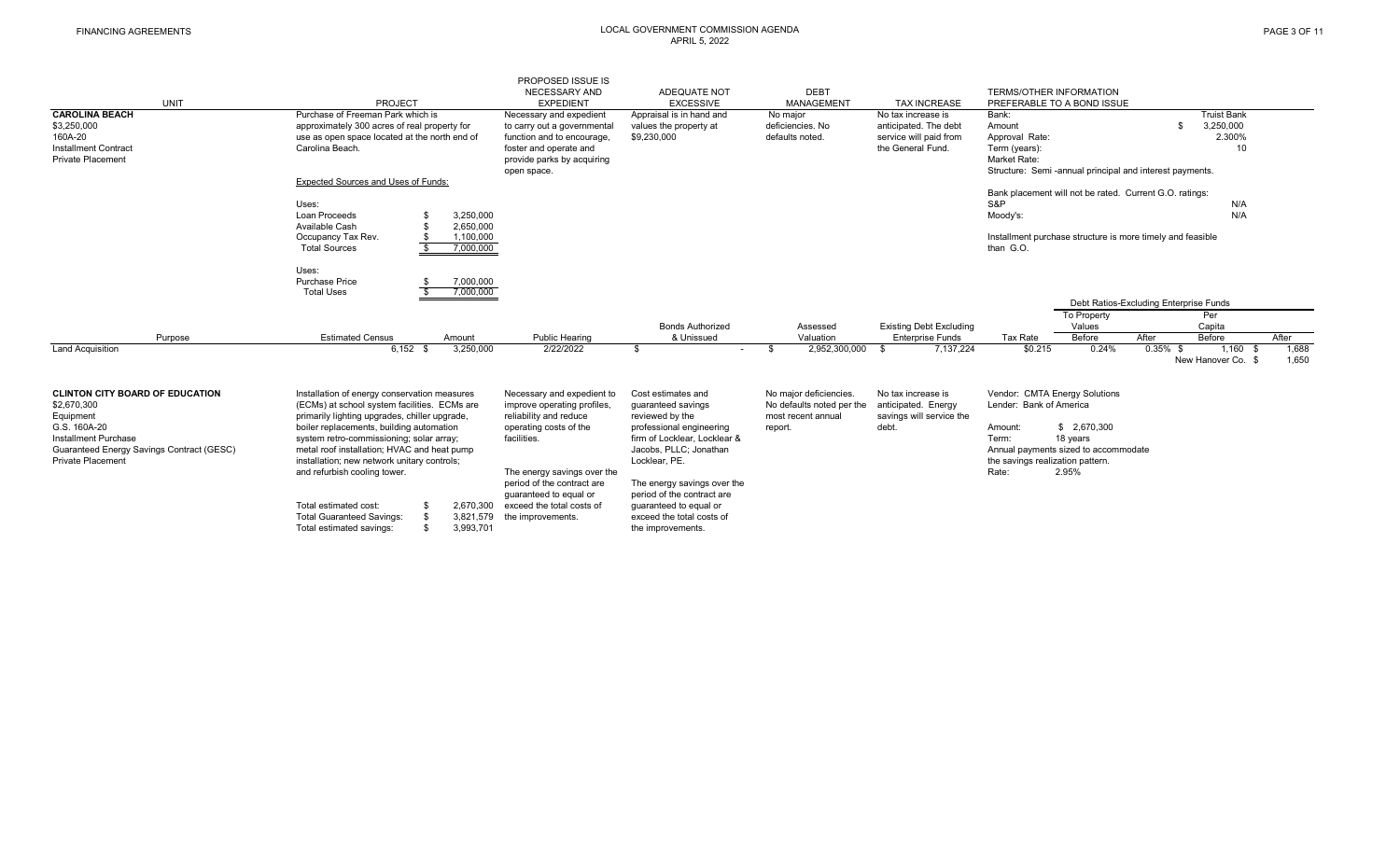#### FINANCING AGREEMENTS LOCAL GOVERNMENT COMMISSION AGENDA APRIL 5, 2022

| <b>UNIT</b><br><b>CAROLINA BEACH</b>                                                                                                                                                | <b>PROJECT</b><br>Purchase of Freeman Park which is                                                                                                                                                                                                                                                                                                                                                                                                                                                             | PROPOSED ISSUE IS<br><b>NECESSARY AND</b><br><b>EXPEDIENT</b><br>Necessary and expedient                                                                                                                                                                              | ADEQUATE NOT<br><b>EXCESSIVE</b><br>Appraisal is in hand and                                                                                                                                                                                                                                                | <b>DEBT</b><br><b>MANAGEMENT</b><br>No major                                         | <b>TAX INCREASE</b><br>No tax increase is                                      | <b>TERMS/OTHER INFORMATION</b><br>PREFERABLE TO A BOND ISSUE<br>Bank:                                                                                                                                 | <b>Truist Bank</b>                                                                                                                                  |
|-------------------------------------------------------------------------------------------------------------------------------------------------------------------------------------|-----------------------------------------------------------------------------------------------------------------------------------------------------------------------------------------------------------------------------------------------------------------------------------------------------------------------------------------------------------------------------------------------------------------------------------------------------------------------------------------------------------------|-----------------------------------------------------------------------------------------------------------------------------------------------------------------------------------------------------------------------------------------------------------------------|-------------------------------------------------------------------------------------------------------------------------------------------------------------------------------------------------------------------------------------------------------------------------------------------------------------|--------------------------------------------------------------------------------------|--------------------------------------------------------------------------------|-------------------------------------------------------------------------------------------------------------------------------------------------------------------------------------------------------|-----------------------------------------------------------------------------------------------------------------------------------------------------|
| \$3,250,000<br>160A-20<br><b>Installment Contract</b><br><b>Private Placement</b>                                                                                                   | approximately 300 acres of real property for<br>use as open space located at the north end of<br>Carolina Beach.<br><b>Expected Sources and Uses of Funds:</b>                                                                                                                                                                                                                                                                                                                                                  | to carry out a governmental<br>function and to encourage,<br>foster and operate and<br>provide parks by acquiring<br>open space.                                                                                                                                      | values the property at<br>\$9,230,000                                                                                                                                                                                                                                                                       | deficiencies. No<br>defaults noted.                                                  | anticipated. The debt<br>service will paid from<br>the General Fund.           | Amount<br>Approval Rate:<br>Term (years):<br>Market Rate:<br>Structure: Semi-annual principal and interest payments.                                                                                  | 3,250,000<br>2.300%<br>10                                                                                                                           |
|                                                                                                                                                                                     | Uses:<br>Loan Proceeds<br>3,250,000<br>2,650,000<br>Available Cash<br>1,100,000<br>Occupancy Tax Rev.<br>£.<br><b>Total Sources</b><br>7,000,000                                                                                                                                                                                                                                                                                                                                                                |                                                                                                                                                                                                                                                                       |                                                                                                                                                                                                                                                                                                             |                                                                                      |                                                                                | Bank placement will not be rated. Current G.O. ratings:<br>S&P<br>Moody's:<br>Installment purchase structure is more timely and feasible<br>than G.O.                                                 | N/A<br>N/A                                                                                                                                          |
| Purpose<br><b>Land Acquisition</b>                                                                                                                                                  | Uses:<br>Purchase Price<br>7,000,000<br><b>Total Uses</b><br>7,000,000<br><b>Estimated Census</b><br>Amount<br>$6.152$ \$<br>3,250,000                                                                                                                                                                                                                                                                                                                                                                          | <b>Public Hearing</b><br>2/22/2022                                                                                                                                                                                                                                    | <b>Bonds Authorized</b><br>& Unissued<br>. ድ<br>$\sim$                                                                                                                                                                                                                                                      | Assessed<br>Valuation<br>2,952,300,000<br>- \$                                       | <b>Existing Debt Excluding</b><br><b>Enterprise Funds</b><br>7,137,224         | To Property<br>Values<br>Before<br>Tax Rate<br>\$0.215<br>0.24%                                                                                                                                       | Debt Ratios-Excluding Enterprise Funds<br>Per<br>Capita<br>After<br>After<br>Before<br>$0.35\%$ \$<br>1.688<br>1,160<br>1,650<br>New Hanover Co. \$ |
| <b>CLINTON CITY BOARD OF EDUCATION</b><br>\$2,670,300<br>Equipment<br>G.S. 160A-20<br>Installment Purchase<br>Guaranteed Energy Savings Contract (GESC)<br><b>Private Placement</b> | Installation of energy conservation measures<br>(ECMs) at school system facilities. ECMs are<br>primarily lighting upgrades, chiller upgrade,<br>boiler replacements, building automation<br>system retro-commissioning; solar array;<br>metal roof installation; HVAC and heat pump<br>installation; new network unitary controls;<br>and refurbish cooling tower.<br>2.670.300<br>Total estimated cost:<br><b>Total Guaranteed Savings:</b><br>\$<br>3,821,579<br>\$<br>3,993,701<br>Total estimated savings: | Necessary and expedient to<br>improve operating profiles,<br>reliability and reduce<br>operating costs of the<br>facilities.<br>The energy savings over the<br>period of the contract are<br>quaranteed to equal or<br>exceed the total costs of<br>the improvements. | Cost estimates and<br>quaranteed savings<br>reviewed by the<br>professional engineering<br>firm of Locklear, Locklear &<br>Jacobs, PLLC; Jonathan<br>Locklear, PE.<br>The energy savings over the<br>period of the contract are<br>quaranteed to equal or<br>exceed the total costs of<br>the improvements. | No major deficiencies.<br>No defaults noted per the<br>most recent annual<br>report. | No tax increase is<br>anticipated. Energy<br>savings will service the<br>debt. | Vendor: CMTA Energy Solutions<br>Lender: Bank of America<br>\$2,670,300<br>Amount:<br>Term:<br>18 years<br>Annual payments sized to accommodate<br>the savings realization pattern.<br>2.95%<br>Rate: |                                                                                                                                                     |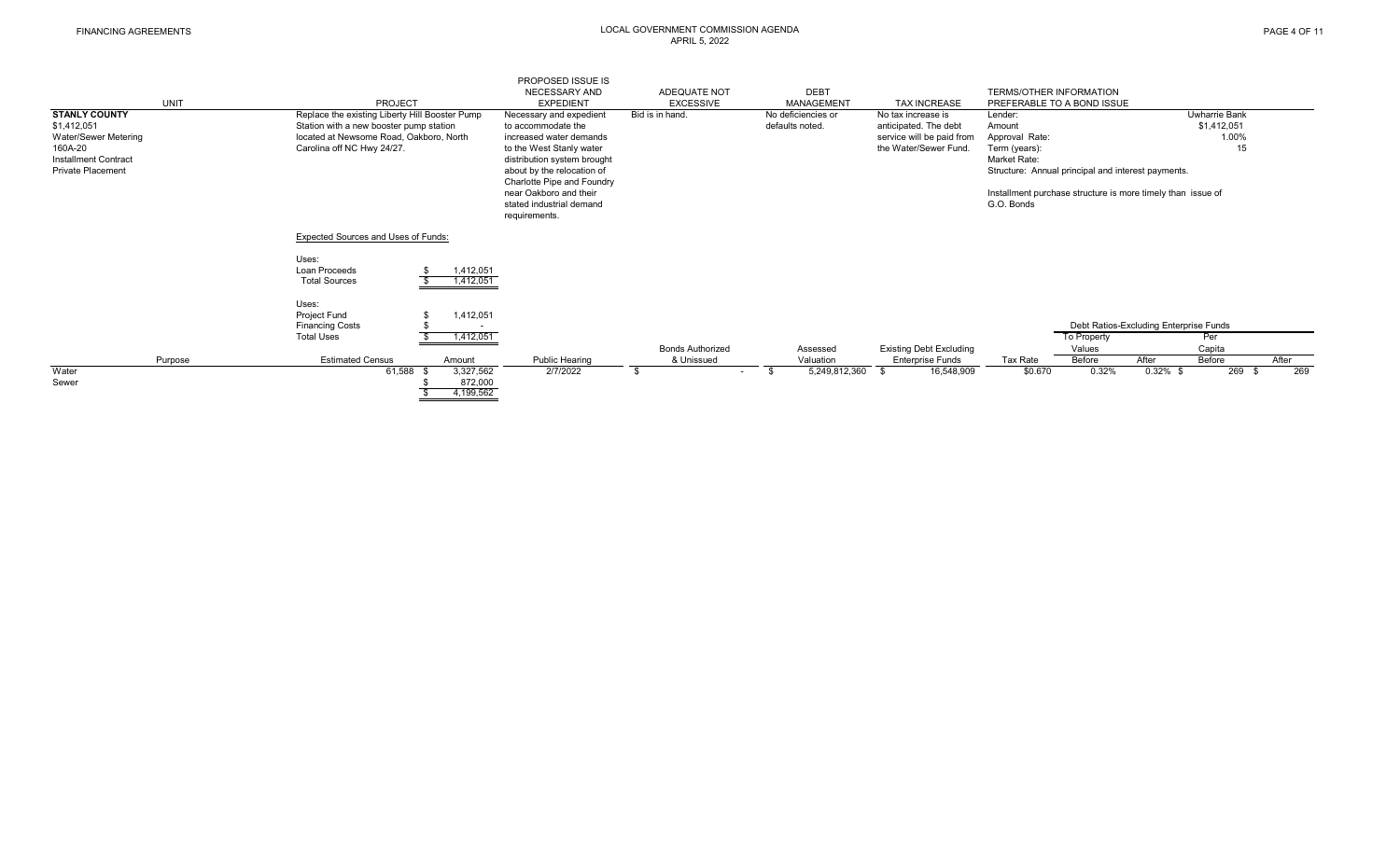#### FINANCING AGREEMENTS LOCAL GOVERNMENT COMMISSION AGENDA APRIL 5, 2022

| <b>STANLY COUNTY</b><br>\$1,412,051<br>Water/Sewer Metering<br>160A-20<br><b>Installment Contract</b><br><b>Private Placement</b> | <b>UNIT</b> | <b>PROJECT</b><br>Replace the existing Liberty Hill Booster Pump<br>Station with a new booster pump station<br>located at Newsome Road, Oakboro, North<br>Carolina off NC Hwy 24/27. | PROPOSED ISSUE IS<br>NECESSARY AND<br><b>EXPEDIENT</b><br>Necessary and expedient<br>to accommodate the<br>increased water demands<br>to the West Stanly water<br>distribution system brought<br>about by the relocation of<br>Charlotte Pipe and Foundry<br>near Oakboro and their<br>stated industrial demand<br>requirements. | ADEQUATE NOT<br><b>EXCESSIVE</b><br>Bid is in hand. | <b>DEBT</b><br><b>MANAGEMENT</b><br>No deficiencies or<br>defaults noted. | <b>TAX INCREASE</b><br>No tax increase is<br>anticipated. The debt<br>service will be paid from<br>the Water/Sewer Fund. | <b>TERMS/OTHER INFORMATION</b><br>PREFERABLE TO A BOND ISSUE<br>Lender:<br>Amount<br>Approval Rate:<br>Term (years):<br>Market Rate:<br>G.O. Bonds | Structure: Annual principal and interest payments.<br>Installment purchase structure is more timely than issue of |                      | <b>Uwharrie Bank</b><br>\$1,412,051<br>1.00%<br>15 |                      |
|-----------------------------------------------------------------------------------------------------------------------------------|-------------|--------------------------------------------------------------------------------------------------------------------------------------------------------------------------------------|----------------------------------------------------------------------------------------------------------------------------------------------------------------------------------------------------------------------------------------------------------------------------------------------------------------------------------|-----------------------------------------------------|---------------------------------------------------------------------------|--------------------------------------------------------------------------------------------------------------------------|----------------------------------------------------------------------------------------------------------------------------------------------------|-------------------------------------------------------------------------------------------------------------------|----------------------|----------------------------------------------------|----------------------|
|                                                                                                                                   |             | Expected Sources and Uses of Funds:                                                                                                                                                  |                                                                                                                                                                                                                                                                                                                                  |                                                     |                                                                           |                                                                                                                          |                                                                                                                                                    |                                                                                                                   |                      |                                                    |                      |
|                                                                                                                                   |             | Uses:<br>1,412,051<br>Loan Proceeds<br>1,412,051<br><b>Total Sources</b>                                                                                                             |                                                                                                                                                                                                                                                                                                                                  |                                                     |                                                                           |                                                                                                                          |                                                                                                                                                    |                                                                                                                   |                      |                                                    |                      |
|                                                                                                                                   |             | Uses:<br>Project Fund<br>1,412,051<br><b>Financing Costs</b><br>$\overline{\phantom{a}}$<br><b>Total Uses</b><br>1,412,051                                                           |                                                                                                                                                                                                                                                                                                                                  |                                                     |                                                                           |                                                                                                                          |                                                                                                                                                    | Debt Ratios-Excluding Enterprise Funds<br>To Property                                                             |                      | Per                                                |                      |
|                                                                                                                                   |             |                                                                                                                                                                                      |                                                                                                                                                                                                                                                                                                                                  | <b>Bonds Authorized</b>                             | Assessed                                                                  | <b>Existing Debt Excluding</b>                                                                                           |                                                                                                                                                    | Values                                                                                                            |                      | Capita                                             |                      |
| Water                                                                                                                             | Purpose     | <b>Estimated Census</b><br>Amount<br>61,588<br>3,327,562                                                                                                                             | <b>Public Hearing</b><br>2/7/2022                                                                                                                                                                                                                                                                                                | & Unissued                                          | Valuation<br>5,249,812,360<br>\$                                          | <b>Enterprise Funds</b><br>16,548,909<br>\$.                                                                             | Tax Rate<br>\$0.670                                                                                                                                | Before<br>0.32%                                                                                                   | After<br>$0.32\%$ \$ | Before<br>269                                      | After<br>269<br>- \$ |
| Sewer                                                                                                                             |             | 872,000<br>4,199,562                                                                                                                                                                 |                                                                                                                                                                                                                                                                                                                                  | $\sim$                                              |                                                                           |                                                                                                                          |                                                                                                                                                    |                                                                                                                   |                      |                                                    |                      |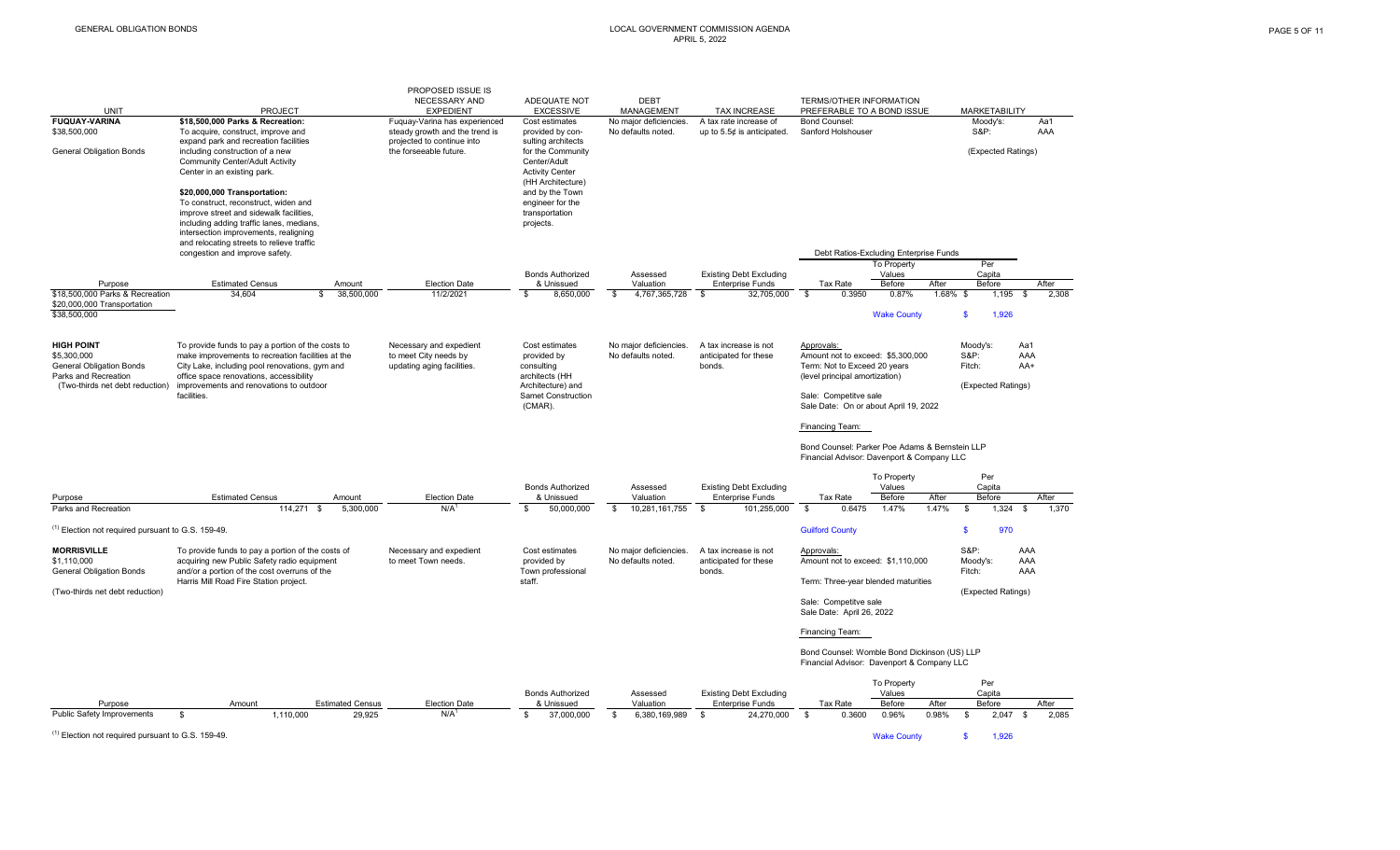#### GENERAL OBLIGATION BONDS LOCAL GOVERNMENT COMMISSION AGENDA APRIL 5, 2022

|                                                               |                                                                                                        | PROPOSED ISSUE IS                                               |                                        |                                              |                                                        |                                                                |                                           |
|---------------------------------------------------------------|--------------------------------------------------------------------------------------------------------|-----------------------------------------------------------------|----------------------------------------|----------------------------------------------|--------------------------------------------------------|----------------------------------------------------------------|-------------------------------------------|
| <b>UNIT</b>                                                   | <b>PROJECT</b>                                                                                         | NECESSARY AND<br><b>EXPEDIENT</b>                               | ADEQUATE NOT<br><b>EXCESSIVE</b>       | <b>DEBT</b><br>MANAGEMENT                    | <b>TAX INCREASE</b>                                    | TERMS/OTHER INFORMATION<br>PREFERABLE TO A BOND ISSUE          | <b>MARKETABILITY</b>                      |
| <b>FUQUAY-VARINA</b><br>\$38,500,000                          | \$18,500,000 Parks & Recreation:<br>To acquire, construct, improve and                                 | Fuquay-Varina has experienced<br>steady growth and the trend is | Cost estimates<br>provided by con-     | No major deficiencies.<br>No defaults noted. | A tax rate increase of<br>up to $5.5¢$ is anticipated. | <b>Bond Counsel:</b><br>Sanford Holshouser                     | Moody's:<br>Aa1<br><b>S&amp;P:</b><br>AAA |
|                                                               | expand park and recreation facilities                                                                  | projected to continue into                                      | sulting architects                     |                                              |                                                        |                                                                |                                           |
| <b>General Obligation Bonds</b>                               | including construction of a new                                                                        | the forseeable future.                                          | for the Community                      |                                              |                                                        |                                                                | (Expected Ratings)                        |
|                                                               | <b>Community Center/Adult Activity</b><br>Center in an existing park.                                  |                                                                 | Center/Adult<br><b>Activity Center</b> |                                              |                                                        |                                                                |                                           |
|                                                               |                                                                                                        |                                                                 | (HH Architecture)                      |                                              |                                                        |                                                                |                                           |
|                                                               | \$20,000,000 Transportation:                                                                           |                                                                 | and by the Town                        |                                              |                                                        |                                                                |                                           |
|                                                               | To construct, reconstruct, widen and                                                                   |                                                                 | engineer for the                       |                                              |                                                        |                                                                |                                           |
|                                                               | improve street and sidewalk facilities,<br>including adding traffic lanes, medians,                    |                                                                 | transportation<br>projects.            |                                              |                                                        |                                                                |                                           |
|                                                               | intersection improvements, realigning                                                                  |                                                                 |                                        |                                              |                                                        |                                                                |                                           |
|                                                               | and relocating streets to relieve traffic                                                              |                                                                 |                                        |                                              |                                                        |                                                                |                                           |
|                                                               | congestion and improve safety.                                                                         |                                                                 |                                        |                                              |                                                        | Debt Ratios-Excluding Enterprise Funds                         | Per                                       |
|                                                               |                                                                                                        |                                                                 | <b>Bonds Authorized</b>                | Assessed                                     | <b>Existing Debt Excluding</b>                         | To Property<br>Values                                          | Capita                                    |
| Purpose                                                       | <b>Estimated Census</b><br>Amount                                                                      | <b>Election Date</b>                                            | & Unissued                             | Valuation                                    | <b>Enterprise Funds</b>                                | Before<br>After<br>Tax Rate                                    | Before<br>After                           |
| \$18,500,000 Parks & Recreation                               | 34.604<br>\$                                                                                           | 38,500,000<br>11/2/2021                                         | \$<br>8.650.000                        | \$<br>4,767,365,728                          | $\mathbf{s}$<br>32.705.000                             | $\overline{\mathbf{s}}$<br>0.3950<br>0.87%                     | 1.68% \$<br>1,195<br>\$<br>2.308          |
| \$20,000,000 Transportation<br>\$38,500,000                   |                                                                                                        |                                                                 |                                        |                                              |                                                        | <b>Wake County</b>                                             | 1,926<br>\$.                              |
|                                                               |                                                                                                        |                                                                 |                                        |                                              |                                                        |                                                                |                                           |
|                                                               |                                                                                                        |                                                                 |                                        |                                              |                                                        |                                                                |                                           |
| <b>HIGH POINT</b><br>\$5,300,000                              | To provide funds to pay a portion of the costs to<br>make improvements to recreation facilities at the | Necessary and expedient<br>to meet City needs by                | Cost estimates<br>provided by          | No major deficiencies<br>No defaults noted.  | A tax increase is not<br>anticipated for these         | Approvals:<br>Amount not to exceed: \$5,300,000                | Moody's:<br>Aa1<br><b>S&amp;P:</b><br>AAA |
| <b>General Obligation Bonds</b>                               | City Lake, including pool renovations, gym and                                                         | updating aging facilities.                                      | consulting                             |                                              | bonds.                                                 | Term: Not to Exceed 20 years                                   | Fitch:<br>AA+                             |
| Parks and Recreation                                          | office space renovations, accessibility                                                                |                                                                 | architects (HH                         |                                              |                                                        | (level principal amortization)                                 |                                           |
| (Two-thirds net debt reduction)                               | improvements and renovations to outdoor<br>facilities.                                                 |                                                                 | Architecture) and                      |                                              |                                                        |                                                                | (Expected Ratings)                        |
|                                                               |                                                                                                        |                                                                 | Samet Construction<br>(CMAR).          |                                              |                                                        | Sale: Competitve sale<br>Sale Date: On or about April 19, 2022 |                                           |
|                                                               |                                                                                                        |                                                                 |                                        |                                              |                                                        |                                                                |                                           |
|                                                               |                                                                                                        |                                                                 |                                        |                                              |                                                        | Financing Team:                                                |                                           |
|                                                               |                                                                                                        |                                                                 |                                        |                                              |                                                        | Bond Counsel: Parker Poe Adams & Bernstein LLP                 |                                           |
|                                                               |                                                                                                        |                                                                 |                                        |                                              |                                                        | Financial Advisor: Davenport & Company LLC                     |                                           |
|                                                               |                                                                                                        |                                                                 |                                        |                                              |                                                        |                                                                | Per                                       |
|                                                               |                                                                                                        |                                                                 | <b>Bonds Authorized</b>                | Assessed                                     | <b>Existing Debt Excluding</b>                         | To Property<br>Values                                          | Capita                                    |
| Purpose                                                       | <b>Estimated Census</b><br>Amount                                                                      | <b>Election Date</b>                                            | & Unissued                             | Valuation                                    | <b>Enterprise Funds</b>                                | Before<br>After<br>Tax Rate                                    | Before<br>After                           |
| Parks and Recreation                                          | 114,271 \$                                                                                             | N/A<br>5,300,000                                                | 50,000,000<br>\$                       | \$<br>10,281,161,755                         | $\mathbb{S}$<br>101,255,000                            | $\mathbb{S}$<br>0.6475<br>1.47%<br>1.47%                       | 1,324<br>\$<br>1,370<br>\$                |
| <sup>(1)</sup> Election not required pursuant to G.S. 159-49. |                                                                                                        |                                                                 |                                        |                                              |                                                        | <b>Guilford County</b>                                         | $\mathbf{\$}$<br>970                      |
|                                                               |                                                                                                        |                                                                 |                                        |                                              |                                                        |                                                                |                                           |
| <b>MORRISVILLE</b>                                            | To provide funds to pay a portion of the costs of                                                      | Necessary and expedient                                         | Cost estimates                         | No major deficiencies                        | A tax increase is not                                  | Approvals:                                                     | <b>S&amp;P:</b><br>AAA                    |
| \$1,110,000<br><b>General Obligation Bonds</b>                | acquiring new Public Safety radio equipment<br>and/or a portion of the cost overruns of the            | to meet Town needs.                                             | provided by<br>Town professional       | No defaults noted.                           | anticipated for these<br>bonds.                        | Amount not to exceed: \$1,110,000                              | Moody's:<br>AAA<br>Fitch:<br>AAA          |
|                                                               | Harris Mill Road Fire Station project.                                                                 |                                                                 | staff.                                 |                                              |                                                        | Term: Three-year blended maturities                            |                                           |
| (Two-thirds net debt reduction)                               |                                                                                                        |                                                                 |                                        |                                              |                                                        |                                                                | (Expected Ratings)                        |
|                                                               |                                                                                                        |                                                                 |                                        |                                              |                                                        | Sale: Competitve sale<br>Sale Date: April 26, 2022             |                                           |
|                                                               |                                                                                                        |                                                                 |                                        |                                              |                                                        |                                                                |                                           |
|                                                               |                                                                                                        |                                                                 |                                        |                                              |                                                        | Financing Team:                                                |                                           |
|                                                               |                                                                                                        |                                                                 |                                        |                                              |                                                        | Bond Counsel: Womble Bond Dickinson (US) LLP                   |                                           |
|                                                               |                                                                                                        |                                                                 |                                        |                                              |                                                        | Financial Advisor: Davenport & Company LLC                     |                                           |
|                                                               |                                                                                                        |                                                                 |                                        |                                              |                                                        |                                                                |                                           |
|                                                               |                                                                                                        |                                                                 | <b>Bonds Authorized</b>                | Assessed                                     | <b>Existing Debt Excluding</b>                         | To Property<br>Values                                          | Per<br>Capita                             |
| Purpose                                                       | <b>Estimated Census</b><br>Amount                                                                      | <b>Election Date</b>                                            | & Unissued                             | Valuation                                    | <b>Enterprise Funds</b>                                | After<br>Tax Rate<br>Before                                    | After<br>Before                           |
| Public Safety Improvements                                    | 1,110,000<br>$\mathfrak{L}$                                                                            | 29.925<br>N/A                                                   | 37,000,000<br>\$                       | 6,380,169,989<br>$\mathbf{s}$                | 24,270,000<br>$\mathbf{s}$                             | $\mathbf{s}$<br>0.3600<br>0.96%<br>0.98%                       | 2.047<br>2.085<br>\$<br>. ድ               |

(1) Election not required pursuant to G.S. 159-49. Wake County \$ 1,926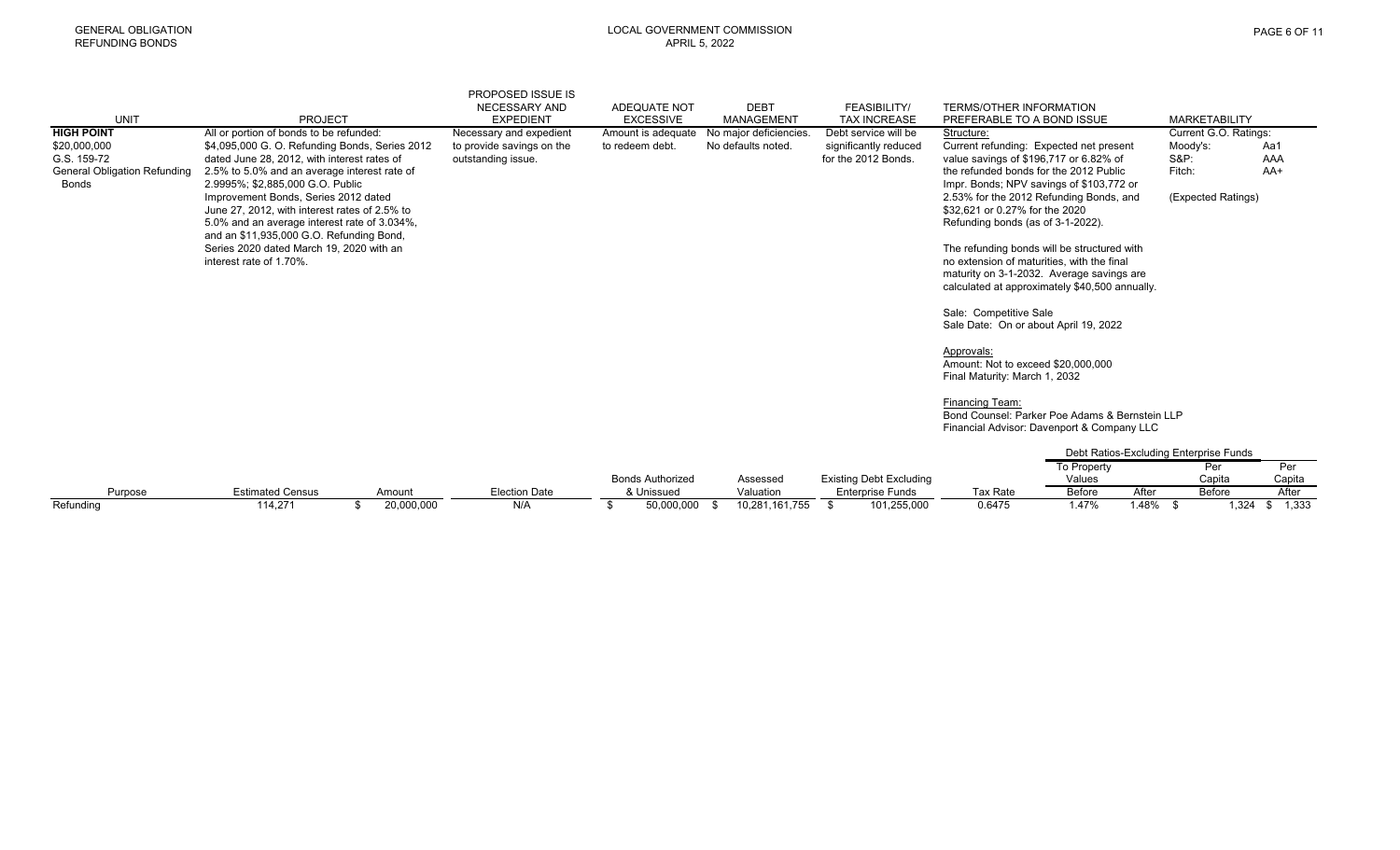|                                                                                    |                                                                                                                                                                                                                                                                                                                                                                                                                                               | <b>PROPOSED ISSUE IS</b>                        |                         |                        |                                              |                                                                                                                                                                                                                                                                                                                                                                                                                                                                                       |                                                                                  |
|------------------------------------------------------------------------------------|-----------------------------------------------------------------------------------------------------------------------------------------------------------------------------------------------------------------------------------------------------------------------------------------------------------------------------------------------------------------------------------------------------------------------------------------------|-------------------------------------------------|-------------------------|------------------------|----------------------------------------------|---------------------------------------------------------------------------------------------------------------------------------------------------------------------------------------------------------------------------------------------------------------------------------------------------------------------------------------------------------------------------------------------------------------------------------------------------------------------------------------|----------------------------------------------------------------------------------|
|                                                                                    |                                                                                                                                                                                                                                                                                                                                                                                                                                               | <b>NECESSARY AND</b>                            | ADEQUATE NOT            | <b>DEBT</b>            | FEASIBILITY/                                 | <b>TERMS/OTHER INFORMATION</b>                                                                                                                                                                                                                                                                                                                                                                                                                                                        |                                                                                  |
| <b>UNIT</b>                                                                        | <b>PROJECT</b>                                                                                                                                                                                                                                                                                                                                                                                                                                | <b>EXPEDIENT</b>                                | <b>EXCESSIVE</b>        | <b>MANAGEMENT</b>      | <b>TAX INCREASE</b>                          | PREFERABLE TO A BOND ISSUE                                                                                                                                                                                                                                                                                                                                                                                                                                                            | <b>MARKETABILITY</b>                                                             |
| <b>HIGH POINT</b>                                                                  | All or portion of bonds to be refunded:                                                                                                                                                                                                                                                                                                                                                                                                       | Necessary and expedient                         | Amount is adequate      | No major deficiencies. | Debt service will be                         | Structure:                                                                                                                                                                                                                                                                                                                                                                                                                                                                            | Current G.O. Ratings:                                                            |
| \$20,000,000<br>G.S. 159-72<br><b>General Obligation Refunding</b><br><b>Bonds</b> | \$4,095,000 G. O. Refunding Bonds, Series 2012<br>dated June 28, 2012, with interest rates of<br>2.5% to 5.0% and an average interest rate of<br>2.9995%; \$2,885,000 G.O. Public<br>Improvement Bonds, Series 2012 dated<br>June 27, 2012, with interest rates of 2.5% to<br>5.0% and an average interest rate of 3.034%,<br>and an \$11,935,000 G.O. Refunding Bond,<br>Series 2020 dated March 19, 2020 with an<br>interest rate of 1.70%. | to provide savings on the<br>outstanding issue. | to redeem debt.         | No defaults noted.     | significantly reduced<br>for the 2012 Bonds. | Current refunding: Expected net present<br>value savings of \$196,717 or 6.82% of<br>the refunded bonds for the 2012 Public<br>Impr. Bonds; NPV savings of \$103,772 or<br>2.53% for the 2012 Refunding Bonds, and<br>\$32,621 or 0.27% for the 2020<br>Refunding bonds (as of 3-1-2022).<br>The refunding bonds will be structured with<br>no extension of maturities, with the final<br>maturity on 3-1-2032. Average savings are<br>calculated at approximately \$40,500 annually. | Moodv's:<br>Aa1<br><b>S&amp;P:</b><br>AAA<br>Fitch:<br>AA+<br>(Expected Ratings) |
|                                                                                    |                                                                                                                                                                                                                                                                                                                                                                                                                                               |                                                 |                         |                        |                                              | Sale: Competitive Sale<br>Sale Date: On or about April 19, 2022<br>Approvals:<br>Amount: Not to exceed \$20,000,000<br>Final Maturity: March 1, 2032<br>Financing Team:<br>Bond Counsel: Parker Poe Adams & Bernstein LLP<br>Financial Advisor: Davenport & Company LLC<br>To Property                                                                                                                                                                                                | Debt Ratios-Excluding Enterprise Funds<br>Per<br>Per                             |
|                                                                                    |                                                                                                                                                                                                                                                                                                                                                                                                                                               |                                                 | <b>Bonds Authorized</b> | Assessed               | <b>Existing Debt Excluding</b>               | Values                                                                                                                                                                                                                                                                                                                                                                                                                                                                                | Capita<br>Capita                                                                 |
| Purpose                                                                            | <b>Estimated Census</b><br>Amount                                                                                                                                                                                                                                                                                                                                                                                                             | <b>Election Date</b>                            | & Unissued              | Valuation              | <b>Enterprise Funds</b>                      | After<br><b>Before</b><br><b>Tax Rate</b>                                                                                                                                                                                                                                                                                                                                                                                                                                             | After<br>Before                                                                  |
| Refundina                                                                          | 20,000,000<br>114,271<br>\$                                                                                                                                                                                                                                                                                                                                                                                                                   | N/A                                             | 50.000.000<br>\$        | 10,281,161,755<br>- \$ | 101.255.000<br>S.                            | 0.6475<br>1.47%                                                                                                                                                                                                                                                                                                                                                                                                                                                                       | $1.48\%$ \$<br>1.324<br>1.333<br>\$                                              |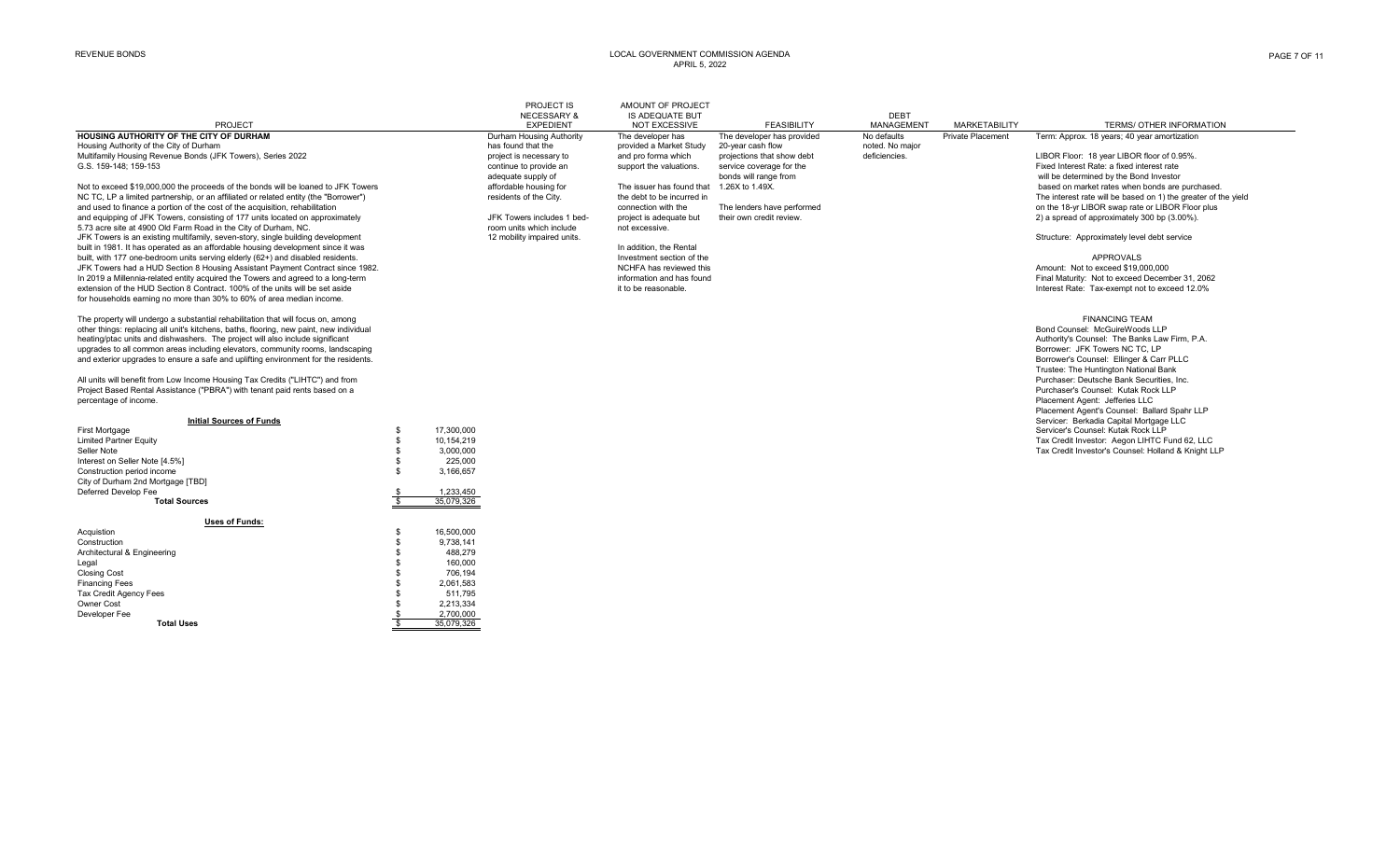#### REVENUE BONDS LOCAL GOVERNMENT COMMISSION AGENDA APRIL 5, 2022

|                                                                                                                                                       |                    |            | PROJECT IS                  | AMOUNT OF PROJECT          |                            |                 |                          |                                                                |
|-------------------------------------------------------------------------------------------------------------------------------------------------------|--------------------|------------|-----------------------------|----------------------------|----------------------------|-----------------|--------------------------|----------------------------------------------------------------|
|                                                                                                                                                       |                    |            | <b>NECESSARY &amp;</b>      | <b>IS ADEQUATE BUT</b>     |                            | <b>DEBT</b>     |                          |                                                                |
| PROJECT                                                                                                                                               |                    |            | <b>EXPEDIENT</b>            | <b>NOT EXCESSIVE</b>       | <b>FEASIBILITY</b>         | MANAGEMENT      | <b>MARKETABILITY</b>     | TERMS/ OTHER INFORMATION                                       |
| HOUSING AUTHORITY OF THE CITY OF DURHAM                                                                                                               |                    |            | Durham Housing Authority    | The developer has          | The developer has provided | No defaults     | <b>Private Placement</b> | Term: Approx, 18 years: 40 year amortization                   |
| Housing Authority of the City of Durham                                                                                                               |                    |            | has found that the          | provided a Market Study    | 20-year cash flow          | noted. No major |                          |                                                                |
| Multifamily Housing Revenue Bonds (JFK Towers), Series 2022                                                                                           |                    |            | project is necessary to     | and pro forma which        | projections that show debt | deficiencies.   |                          | LIBOR Floor: 18 year LIBOR floor of 0.95%.                     |
| G.S. 159-148: 159-153                                                                                                                                 |                    |            | continue to provide an      | support the valuations.    | service coverage for the   |                 |                          | Fixed Interest Rate: a fixed interest rate                     |
|                                                                                                                                                       |                    |            | adequate supply of          |                            | bonds will range from      |                 |                          | will be determined by the Bond Investor                        |
| Not to exceed \$19,000,000 the proceeds of the bonds will be loaned to JFK Towers                                                                     |                    |            | affordable housing for      | The issuer has found that  | 1.26X to 1.49X.            |                 |                          | based on market rates when bonds are purchased.                |
| NC TC, LP a limited partnership, or an affiliated or related entity (the "Borrower")                                                                  |                    |            | residents of the City.      | the debt to be incurred in |                            |                 |                          | The interest rate will be based on 1) the greater of the yield |
| and used to finance a portion of the cost of the acquisition, rehabilitation                                                                          |                    |            |                             | connection with the        | The lenders have performed |                 |                          | on the 18-yr LIBOR swap rate or LIBOR Floor plus               |
| and equipping of JFK Towers, consisting of 177 units located on approximately                                                                         |                    |            | JFK Towers includes 1 bed-  | project is adequate but    | their own credit review.   |                 |                          | 2) a spread of approximately 300 bp (3.00%).                   |
| 5.73 acre site at 4900 Old Farm Road in the City of Durham, NC.                                                                                       |                    |            | room units which include    | not excessive.             |                            |                 |                          |                                                                |
| JFK Towers is an existing multifamily, seven-story, single building development                                                                       |                    |            | 12 mobility impaired units. |                            |                            |                 |                          | Structure: Approximately level debt service                    |
| built in 1981. It has operated as an affordable housing development since it was                                                                      |                    |            |                             | In addition, the Rental    |                            |                 |                          |                                                                |
| built, with 177 one-bedroom units serving elderly (62+) and disabled residents.                                                                       |                    |            |                             | Investment section of the  |                            |                 |                          | <b>APPROVALS</b>                                               |
| JFK Towers had a HUD Section 8 Housing Assistant Payment Contract since 1982.                                                                         |                    |            |                             | NCHFA has reviewed this    |                            |                 |                          | Amount: Not to exceed \$19,000,000                             |
| In 2019 a Millennia-related entity acquired the Towers and agreed to a long-term                                                                      |                    |            |                             | information and has found  |                            |                 |                          | Final Maturity: Not to exceed December 31, 2062                |
| extension of the HUD Section 8 Contract. 100% of the units will be set aside<br>for households earning no more than 30% to 60% of area median income. |                    |            |                             | it to be reasonable.       |                            |                 |                          | Interest Rate: Tax-exempt not to exceed 12.0%                  |
|                                                                                                                                                       |                    |            |                             |                            |                            |                 |                          |                                                                |
| The property will undergo a substantial rehabilitation that will focus on, among                                                                      |                    |            |                             |                            |                            |                 |                          | <b>FINANCING TEAM</b>                                          |
| other things: replacing all unit's kitchens, baths, flooring, new paint, new individual                                                               |                    |            |                             |                            |                            |                 |                          | Bond Counsel: McGuireWoods LLP                                 |
| heating/ptac units and dishwashers. The project will also include significant                                                                         |                    |            |                             |                            |                            |                 |                          | Authority's Counsel: The Banks Law Firm, P.A.                  |
| upgrades to all common areas including elevators, community rooms, landscaping                                                                        |                    |            |                             |                            |                            |                 |                          | Borrower: JFK Towers NC TC. LP                                 |
| and exterior upgrades to ensure a safe and uplifting environment for the residents.                                                                   |                    |            |                             |                            |                            |                 |                          | Borrower's Counsel: Ellinger & Carr PLLC                       |
|                                                                                                                                                       |                    |            |                             |                            |                            |                 |                          | Trustee: The Huntington National Bank                          |
| All units will benefit from Low Income Housing Tax Credits ("LIHTC") and from                                                                         |                    |            |                             |                            |                            |                 |                          | Purchaser: Deutsche Bank Securities, Inc.                      |
| Project Based Rental Assistance ("PBRA") with tenant paid rents based on a                                                                            |                    |            |                             |                            |                            |                 |                          | Purchaser's Counsel: Kutak Rock LLP                            |
| percentage of income.                                                                                                                                 |                    |            |                             |                            |                            |                 |                          | Placement Agent: Jefferies LLC                                 |
|                                                                                                                                                       |                    |            |                             |                            |                            |                 |                          | Placement Agent's Counsel: Ballard Spahr LLP                   |
| <b>Initial Sources of Funds</b>                                                                                                                       |                    |            |                             |                            |                            |                 |                          | Servicer: Berkadia Capital Mortgage LLC                        |
| <b>First Mortgage</b>                                                                                                                                 | -S                 | 17,300,000 |                             |                            |                            |                 |                          | Servicer's Counsel: Kutak Rock LLP                             |
| <b>Limited Partner Equity</b>                                                                                                                         | \$                 | 10.154.219 |                             |                            |                            |                 |                          | Tax Credit Investor: Aegon LIHTC Fund 62, LLC                  |
| Seller Note                                                                                                                                           | $\mathbf{\hat{x}}$ | 3,000,000  |                             |                            |                            |                 |                          | Tax Credit Investor's Counsel: Holland & Knight LLP            |
| Interest on Seller Note [4.5%]                                                                                                                        |                    | 225,000    |                             |                            |                            |                 |                          |                                                                |
| Construction period income                                                                                                                            | <b>R</b>           | 3,166,657  |                             |                            |                            |                 |                          |                                                                |
| City of Durham 2nd Mortgage [TBD]                                                                                                                     |                    |            |                             |                            |                            |                 |                          |                                                                |
| Deferred Develop Fee                                                                                                                                  |                    | 1,233,450  |                             |                            |                            |                 |                          |                                                                |
| <b>Total Sources</b>                                                                                                                                  |                    | 35,079,326 |                             |                            |                            |                 |                          |                                                                |
|                                                                                                                                                       |                    |            |                             |                            |                            |                 |                          |                                                                |
| <b>Uses of Funds:</b>                                                                                                                                 |                    |            |                             |                            |                            |                 |                          |                                                                |
| Acquistion                                                                                                                                            |                    | 16,500,000 |                             |                            |                            |                 |                          |                                                                |
| Construction                                                                                                                                          |                    | 9,738,141  |                             |                            |                            |                 |                          |                                                                |
| Architectural & Engineering                                                                                                                           |                    | 488,279    |                             |                            |                            |                 |                          |                                                                |
| Legal                                                                                                                                                 |                    | 160,000    |                             |                            |                            |                 |                          |                                                                |
| Closing Cost                                                                                                                                          |                    | 706.194    |                             |                            |                            |                 |                          |                                                                |
| <b>Financing Fees</b>                                                                                                                                 |                    | 2,061,583  |                             |                            |                            |                 |                          |                                                                |
| <b>Tax Credit Agency Fees</b>                                                                                                                         |                    | 511.795    |                             |                            |                            |                 |                          |                                                                |
| Owner Cost                                                                                                                                            |                    | 2,213,334  |                             |                            |                            |                 |                          |                                                                |
| Developer Fee                                                                                                                                         |                    | 2.700.000  |                             |                            |                            |                 |                          |                                                                |
| <b>Total Uses</b>                                                                                                                                     |                    | 35.079.326 |                             |                            |                            |                 |                          |                                                                |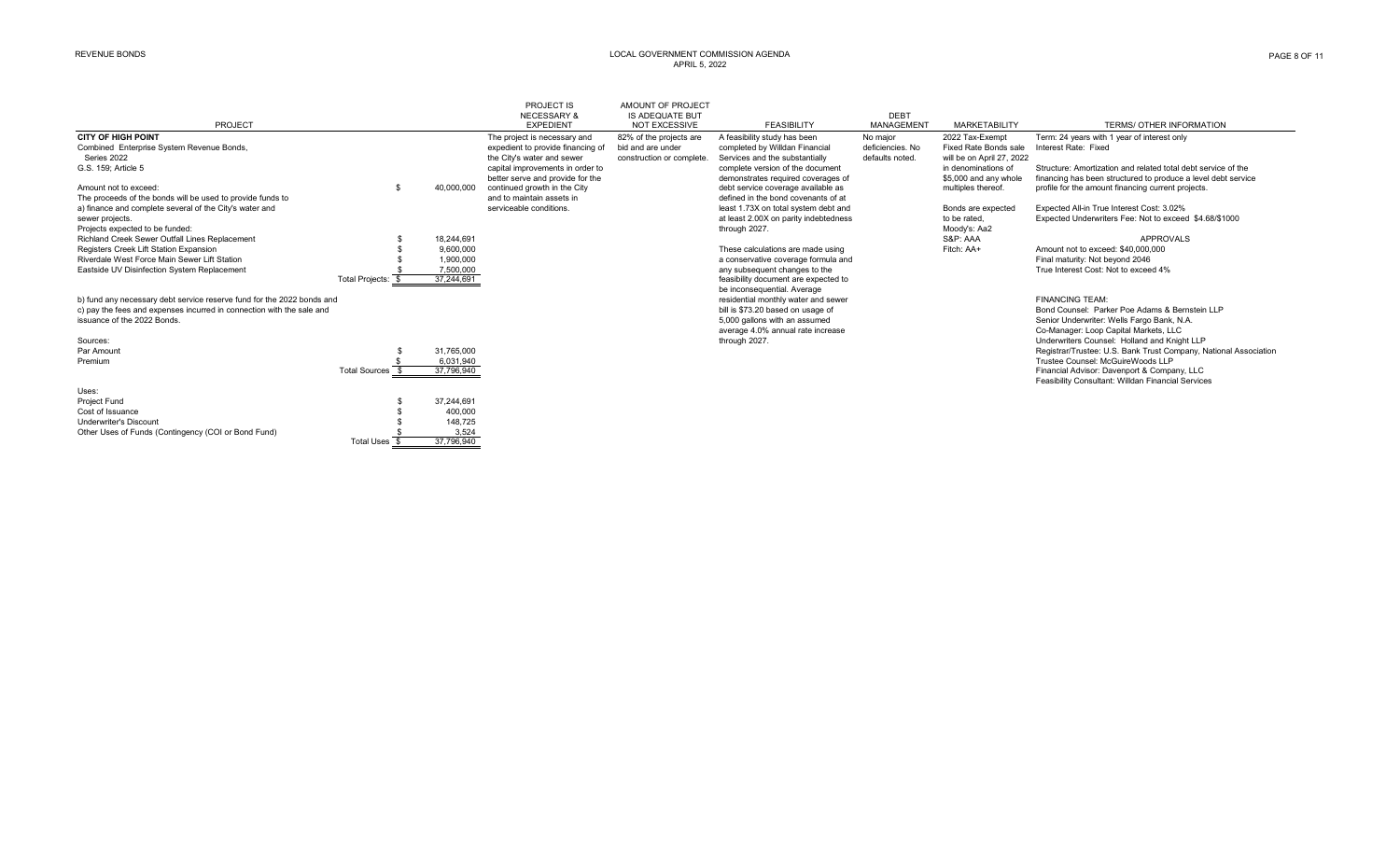Underwriter's Discount 148,725<br>
Other Uses of Funds (Contingency (COI or Bond Fund) 8 3,524<br>
3,524 Other Uses of Funds (Contingency (COI or Bond Fund)  $\frac{\$}{\$}$  3,524<br>Total Uses  $\frac{\$}{\$}$  37,796,940

Total Uses \$

#### REVENUE BONDS LOCAL GOVERNMENT COMMISSION AGENDA APRIL 5, 2022

|                                                                        |                    |            | PROJECT IS<br><b>NECESSARY &amp;</b> | AMOUNT OF PROJECT<br><b>IS ADEQUATE BUT</b> |                                       | <b>DEBT</b>       |                           |                                                                  |
|------------------------------------------------------------------------|--------------------|------------|--------------------------------------|---------------------------------------------|---------------------------------------|-------------------|---------------------------|------------------------------------------------------------------|
| PROJECT                                                                |                    |            | <b>EXPEDIENT</b>                     | <b>NOT EXCESSIVE</b>                        | <b>FEASIBILITY</b>                    | <b>MANAGEMENT</b> | <b>MARKETABILITY</b>      | TERMS/ OTHER INFORMATION                                         |
| <b>CITY OF HIGH POINT</b>                                              |                    |            | The project is necessary and         | 82% of the projects are                     | A feasibility study has been          | No maior          | 2022 Tax-Exempt           | Term: 24 years with 1 year of interest only                      |
| Combined Enterprise System Revenue Bonds,                              |                    |            | expedient to provide financing of    | bid and are under                           | completed by Willdan Financial        | deficiencies, No  | Fixed Rate Bonds sale     | Interest Rate: Fixed                                             |
| Series 2022                                                            |                    |            | the City's water and sewer           | construction or complete.                   | Services and the substantially        | defaults noted.   | will be on April 27, 2022 |                                                                  |
| G.S. 159; Article 5                                                    |                    |            | capital improvements in order to     |                                             | complete version of the document      |                   | in denominations of       | Structure: Amortization and related total debt service of the    |
|                                                                        |                    |            | better serve and provide for the     |                                             | demonstrates required coverages of    |                   | \$5,000 and any whole     | financing has been structured to produce a level debt service    |
| Amount not to exceed:                                                  |                    | 40,000,000 | continued growth in the City         |                                             | debt service coverage available as    |                   | multiples thereof.        | profile for the amount financing current projects.               |
| The proceeds of the bonds will be used to provide funds to             |                    |            | and to maintain assets in            |                                             | defined in the bond covenants of at   |                   |                           |                                                                  |
| a) finance and complete several of the City's water and                |                    |            | serviceable conditions.              |                                             | least 1.73X on total system debt and  |                   | Bonds are expected        | Expected All-in True Interest Cost: 3.02%                        |
| sewer projects.                                                        |                    |            |                                      |                                             | at least 2.00X on parity indebtedness |                   | to be rated.              | Expected Underwriters Fee: Not to exceed \$4.68/\$1000           |
| Projects expected to be funded:                                        |                    |            |                                      |                                             | through 2027.                         |                   | Moody's: Aa2              |                                                                  |
| Richland Creek Sewer Outfall Lines Replacement                         |                    | 18.244.691 |                                      |                                             |                                       |                   | S&P: AAA                  | APPROVALS                                                        |
| Registers Creek Lift Station Expansion                                 |                    | 9,600,000  |                                      |                                             | These calculations are made using     |                   | Fitch: AA+                | Amount not to exceed: \$40,000,000                               |
| Riverdale West Force Main Sewer Lift Station                           |                    | 1,900,000  |                                      |                                             | a conservative coverage formula and   |                   |                           | Final maturity: Not beyond 2046                                  |
| Eastside UV Disinfection System Replacement                            |                    | 7,500,000  |                                      |                                             | any subsequent changes to the         |                   |                           | True Interest Cost: Not to exceed 4%                             |
|                                                                        | Total Projects: \$ | 37,244,691 |                                      |                                             | feasibility document are expected to  |                   |                           |                                                                  |
|                                                                        |                    |            |                                      |                                             | be inconsequential. Average           |                   |                           |                                                                  |
| b) fund any necessary debt service reserve fund for the 2022 bonds and |                    |            |                                      |                                             | residential monthly water and sewer   |                   |                           | <b>FINANCING TEAM:</b>                                           |
| c) pay the fees and expenses incurred in connection with the sale and  |                    |            |                                      |                                             | bill is \$73.20 based on usage of     |                   |                           | Bond Counsel: Parker Poe Adams & Bernstein LLP                   |
| issuance of the 2022 Bonds.                                            |                    |            |                                      |                                             | 5,000 gallons with an assumed         |                   |                           | Senior Underwriter: Wells Fargo Bank, N.A.                       |
|                                                                        |                    |            |                                      |                                             | average 4.0% annual rate increase     |                   |                           | Co-Manager: Loop Capital Markets, LLC                            |
| Sources:                                                               |                    |            |                                      |                                             | through 2027.                         |                   |                           | Underwriters Counsel: Holland and Knight LLP                     |
| Par Amount                                                             |                    | 31,765,000 |                                      |                                             |                                       |                   |                           | Registrar/Trustee: U.S. Bank Trust Company, National Association |
| Premium                                                                |                    | 6.031.940  |                                      |                                             |                                       |                   |                           | Trustee Counsel: McGuireWoods LLP                                |
|                                                                        | Total Sources 9    | 37,796,940 |                                      |                                             |                                       |                   |                           | Financial Advisor: Davenport & Company, LLC                      |
|                                                                        |                    |            |                                      |                                             |                                       |                   |                           | Feasibility Consultant: Willdan Financial Services               |
| Uses:                                                                  |                    |            |                                      |                                             |                                       |                   |                           |                                                                  |
| Project Fund                                                           |                    | 37.244.691 |                                      |                                             |                                       |                   |                           |                                                                  |
| Cost of Issuance                                                       |                    | 400,000    |                                      |                                             |                                       |                   |                           |                                                                  |
| Underwriter's Discount                                                 |                    | 148.725    |                                      |                                             |                                       |                   |                           |                                                                  |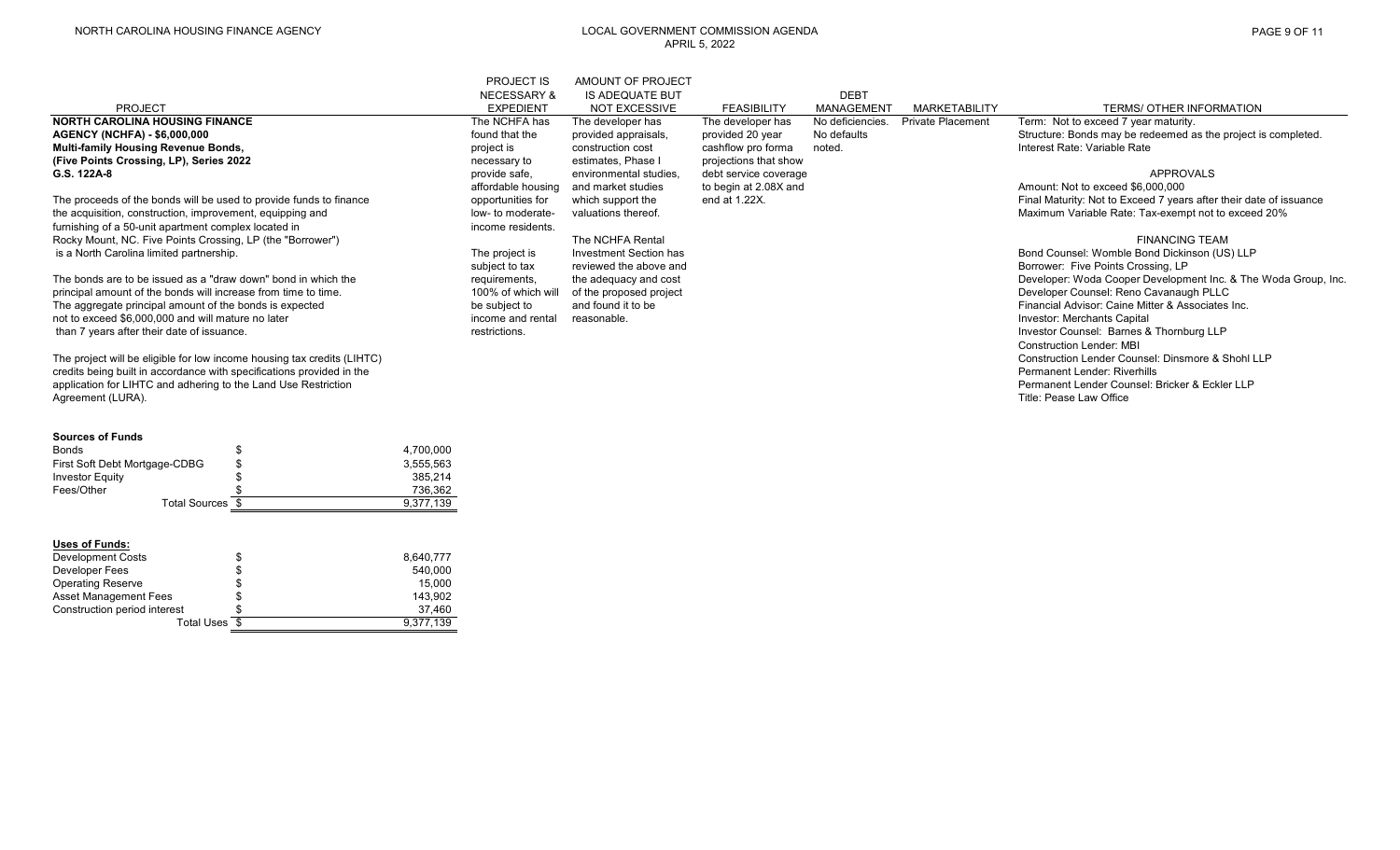### NORTH CAROLINA HOUSING FINANCE AGENCY LOCAL GOVERNMENT COMMISSION AGENDA APRIL 5, 2022

|                                                                         | <b>PROJECT IS</b>      | AMOUNT OF PROJECT       |                       |                   |                          |                                                                    |
|-------------------------------------------------------------------------|------------------------|-------------------------|-----------------------|-------------------|--------------------------|--------------------------------------------------------------------|
|                                                                         | <b>NECESSARY &amp;</b> | <b>IS ADEQUATE BUT</b>  |                       | <b>DEBT</b>       |                          |                                                                    |
| <b>PROJECT</b>                                                          | <b>EXPEDIENT</b>       | <b>NOT EXCESSIVE</b>    | <b>FEASIBILITY</b>    | <b>MANAGEMENT</b> | <b>MARKETABILITY</b>     | <b>TERMS/ OTHER INFORMATION</b>                                    |
| <b>NORTH CAROLINA HOUSING FINANCE</b>                                   | The NCHFA has          | The developer has       | The developer has     | No deficiencies.  | <b>Private Placement</b> | Term: Not to exceed 7 year maturity.                               |
| <b>AGENCY (NCHFA) - \$6,000,000</b>                                     | found that the         | provided appraisals,    | provided 20 year      | No defaults       |                          | Structure: Bonds may be redeemed as the project is completed.      |
| Multi-family Housing Revenue Bonds,                                     | project is             | construction cost       | cashflow pro forma    | noted.            |                          | Interest Rate: Variable Rate                                       |
| (Five Points Crossing, LP), Series 2022                                 | necessary to           | estimates, Phase I      | projections that show |                   |                          |                                                                    |
| G.S. 122A-8                                                             | provide safe,          | environmental studies,  | debt service coverage |                   |                          | APPROVALS                                                          |
|                                                                         | affordable housing     | and market studies      | to begin at 2.08X and |                   |                          | Amount: Not to exceed \$6,000,000                                  |
| The proceeds of the bonds will be used to provide funds to finance      | opportunities for      | which support the       | end at 1.22X.         |                   |                          | Final Maturity: Not to Exceed 7 years after their date of issuance |
| the acquisition, construction, improvement, equipping and               | low- to moderate-      | valuations thereof.     |                       |                   |                          | Maximum Variable Rate: Tax-exempt not to exceed 20%                |
| furnishing of a 50-unit apartment complex located in                    | income residents.      |                         |                       |                   |                          |                                                                    |
| Rocky Mount, NC. Five Points Crossing, LP (the "Borrower")              |                        | The NCHFA Rental        |                       |                   |                          | <b>FINANCING TEAM</b>                                              |
| is a North Carolina limited partnership.                                | The project is         | Investment Section has  |                       |                   |                          | Bond Counsel: Womble Bond Dickinson (US) LLP                       |
|                                                                         | subject to tax         | reviewed the above and  |                       |                   |                          | Borrower: Five Points Crossing, LP                                 |
| The bonds are to be issued as a "draw down" bond in which the           | requirements,          | the adequacy and cost   |                       |                   |                          | Developer: Woda Cooper Development Inc. & The Woda Group, Inc.     |
| principal amount of the bonds will increase from time to time.          | 100% of which will     | of the proposed project |                       |                   |                          | Developer Counsel: Reno Cavanaugh PLLC                             |
| The aggregate principal amount of the bonds is expected                 | be subject to          | and found it to be      |                       |                   |                          | Financial Advisor: Caine Mitter & Associates Inc.                  |
| not to exceed \$6,000,000 and will mature no later                      | income and rental      | reasonable.             |                       |                   |                          | Investor: Merchants Capital                                        |
| than 7 years after their date of issuance.                              | restrictions.          |                         |                       |                   |                          | Investor Counsel: Barnes & Thornburg LLP                           |
|                                                                         |                        |                         |                       |                   |                          | <b>Construction Lender: MBI</b>                                    |
| The project will be eligible for low income housing tax credits (LIHTC) |                        |                         |                       |                   |                          | Construction Lender Counsel: Dinsmore & Shohl LLP                  |
| credits being built in accordance with specifications provided in the   |                        |                         |                       |                   |                          | Permanent Lender: Riverhills                                       |
| application for LIHTC and adhering to the Land Use Restriction          |                        |                         |                       |                   |                          | Permanent Lender Counsel: Bricker & Eckler LLP                     |
| Agreement (LURA).                                                       |                        |                         |                       |                   |                          | Title: Pease Law Office                                            |
|                                                                         |                        |                         |                       |                   |                          |                                                                    |

| <b>Sources of Funds</b>       |                 |
|-------------------------------|-----------------|
| Bonds                         | \$<br>4.700.000 |
| First Soft Debt Mortgage-CDBG | \$<br>3,555,563 |
| <b>Investor Equity</b>        | \$<br>385.214   |
| Fees/Other                    | 736.362         |
| Total Sources \$              | 9.377.139       |

# **Uses of Funds:**

| <b>Development Costs</b>     | \$<br>8,640,777 |
|------------------------------|-----------------|
| Developer Fees               | \$<br>540,000   |
| <b>Operating Reserve</b>     | \$<br>15.000    |
| <b>Asset Management Fees</b> | \$<br>143.902   |
| Construction period interest | 37.460          |
| Total Uses \$                | 9.377.139       |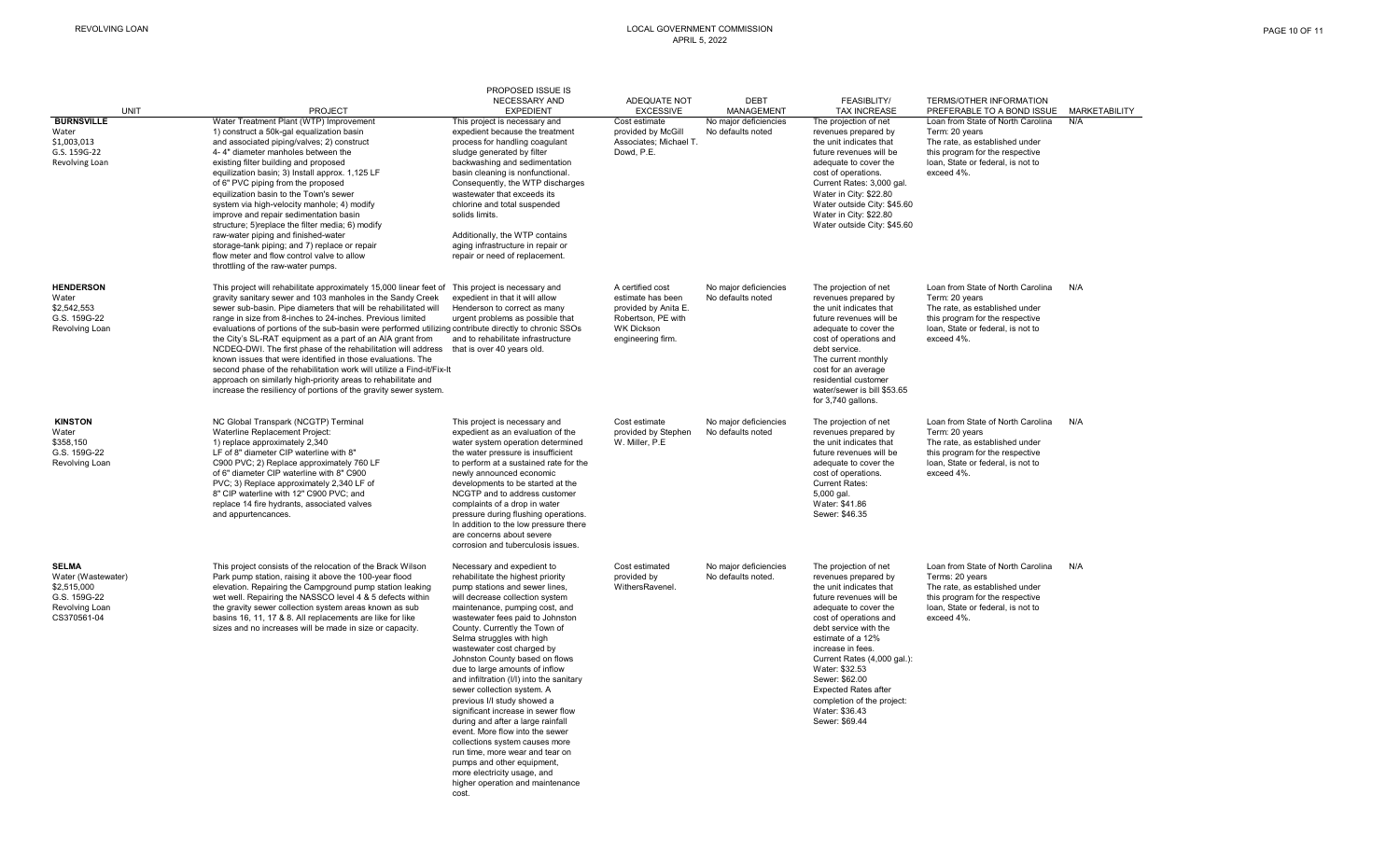#### REVOLVING LOAN LOCAL GOVERNMENT COMMISSION APRIL 5, 2022

| UNIT                                                                                               | <b>PROJECT</b>                                                                                                                                                                                                                                                                                                                                                                                                                                                                                                                                                                                                                                                                                                                                                                         | PROPOSED ISSUE IS<br>NECESSARY AND<br><b>EXPEDIENT</b>                                                                                                                                                                                                                                                                                                                                                                                                                                                                                                                                                                                                                                                                                                                           | ADEQUATE NOT<br><b>EXCESSIVE</b>                                                                                              | <b>DEBT</b><br><b>MANAGEMENT</b>            | FEASIBLITY/<br><b>TAX INCREASE</b>                                                                                                                                                                                                                                                                                                                                                            | TERMS/OTHER INFORMATION<br>PREFERABLE TO A BOND ISSUE                                                                                                                        | <b>MARKETABILITY</b> |
|----------------------------------------------------------------------------------------------------|----------------------------------------------------------------------------------------------------------------------------------------------------------------------------------------------------------------------------------------------------------------------------------------------------------------------------------------------------------------------------------------------------------------------------------------------------------------------------------------------------------------------------------------------------------------------------------------------------------------------------------------------------------------------------------------------------------------------------------------------------------------------------------------|----------------------------------------------------------------------------------------------------------------------------------------------------------------------------------------------------------------------------------------------------------------------------------------------------------------------------------------------------------------------------------------------------------------------------------------------------------------------------------------------------------------------------------------------------------------------------------------------------------------------------------------------------------------------------------------------------------------------------------------------------------------------------------|-------------------------------------------------------------------------------------------------------------------------------|---------------------------------------------|-----------------------------------------------------------------------------------------------------------------------------------------------------------------------------------------------------------------------------------------------------------------------------------------------------------------------------------------------------------------------------------------------|------------------------------------------------------------------------------------------------------------------------------------------------------------------------------|----------------------|
| <b>BURNSVILLE</b><br>Water<br>\$1,003,013<br>G.S. 159G-22<br>Revolving Loan                        | Water Treatment Plant (WTP) Improvement<br>1) construct a 50k-gal equalization basin<br>and associated piping/valves; 2) construct<br>4-4" diameter manholes between the<br>existing filter building and proposed<br>equilization basin; 3) Install approx. 1,125 LF<br>of 6" PVC piping from the proposed<br>equilization basin to the Town's sewer<br>system via high-velocity manhole; 4) modify<br>improve and repair sedimentation basin<br>structure; 5) replace the filter media; 6) modify<br>raw-water piping and finished-water<br>storage-tank piping; and 7) replace or repair<br>flow meter and flow control valve to allow<br>throttling of the raw-water pumps.                                                                                                         | This project is necessary and<br>expedient because the treatment<br>process for handling coagulant<br>sludge generated by filter<br>backwashing and sedimentation<br>basin cleaning is nonfunctional.<br>Consequently, the WTP discharges<br>wastewater that exceeds its<br>chlorine and total suspended<br>solids limits.<br>Additionally, the WTP contains<br>aging infrastructure in repair or<br>repair or need of replacement.                                                                                                                                                                                                                                                                                                                                              | Cost estimate<br>provided by McGill<br>Associates; Michael T.<br>Dowd, P.E.                                                   | No major deficiencies<br>No defaults noted  | The projection of net<br>revenues prepared by<br>the unit indicates that<br>future revenues will be<br>adequate to cover the<br>cost of operations.<br>Current Rates: 3,000 gal.<br>Water in City: \$22.80<br>Water outside City: \$45.60<br>Water in City: \$22.80<br>Water outside City: \$45.60                                                                                            | Loan from State of North Carolina<br>Term: 20 years<br>The rate, as established under<br>this program for the respective<br>loan, State or federal, is not to<br>exceed 4%.  | N/A                  |
| <b>HENDERSON</b><br>Water<br>\$2,542,553<br>G.S. 159G-22<br>Revolving Loan                         | This project will rehabilitate approximately 15,000 linear feet of<br>gravity sanitary sewer and 103 manholes in the Sandy Creek<br>sewer sub-basin. Pipe diameters that will be rehabilitated will<br>range in size from 8-inches to 24-inches. Previous limited<br>evaluations of portions of the sub-basin were performed utilizing contribute directly to chronic SSOs<br>the City's SL-RAT equipment as a part of an AIA grant from<br>NCDEQ-DWI. The first phase of the rehabilitation will address<br>known issues that were identified in those evaluations. The<br>second phase of the rehabilitation work will utilize a Find-it/Fix-It<br>approach on similarly high-priority areas to rehabilitate and<br>increase the resiliency of portions of the gravity sewer system. | This project is necessary and<br>expedient in that it will allow<br>Henderson to correct as many<br>urgent problems as possible that<br>and to rehabilitate infrastructure<br>that is over 40 years old.                                                                                                                                                                                                                                                                                                                                                                                                                                                                                                                                                                         | A certified cost<br>estimate has been<br>provided by Anita E.<br>Robertson, PE with<br><b>WK Dickson</b><br>engineering firm. | No major deficiencies<br>No defaults noted  | The projection of net<br>revenues prepared by<br>the unit indicates that<br>future revenues will be<br>adequate to cover the<br>cost of operations and<br>debt service.<br>The current monthly<br>cost for an average<br>residential customer<br>water/sewer is bill \$53.65<br>for 3,740 gallons.                                                                                            | Loan from State of North Carolina<br>Term: 20 years<br>The rate, as established under<br>this program for the respective<br>loan. State or federal, is not to<br>exceed 4%.  | N/A                  |
| <b>KINSTON</b><br>Water<br>\$358,150<br>G.S. 159G-22<br>Revolving Loan                             | NC Global Transpark (NCGTP) Terminal<br>Waterline Replacement Project:<br>1) replace approximately 2,340<br>LF of 8" diameter CIP waterline with 8"<br>C900 PVC; 2) Replace approximately 760 LF<br>of 6" diameter CIP waterline with 8" C900<br>PVC: 3) Replace approximately 2.340 LF of<br>8" CIP waterline with 12" C900 PVC; and<br>replace 14 fire hydrants, associated valves<br>and appurtencances.                                                                                                                                                                                                                                                                                                                                                                            | This project is necessary and<br>expedient as an evaluation of the<br>water system operation determined<br>the water pressure is insufficient<br>to perform at a sustained rate for the<br>newly announced economic<br>developments to be started at the<br>NCGTP and to address customer<br>complaints of a drop in water<br>pressure during flushing operations.<br>In addition to the low pressure there<br>are concerns about severe<br>corrosion and tuberculosis issues.                                                                                                                                                                                                                                                                                                   | Cost estimate<br>provided by Stephen<br>W. Miller, P.E.                                                                       | No major deficiencies<br>No defaults noted  | The projection of net<br>revenues prepared by<br>the unit indicates that<br>future revenues will be<br>adequate to cover the<br>cost of operations.<br><b>Current Rates:</b><br>5,000 gal.<br>Water: \$41.86<br>Sewer: \$46.35                                                                                                                                                                | Loan from State of North Carolina<br>Term: 20 years<br>The rate, as established under<br>this program for the respective<br>loan. State or federal, is not to<br>exceed 4%.  | N/A                  |
| <b>SELMA</b><br>Water (Wastewater)<br>\$2,515,000<br>G.S. 159G-22<br>Revolving Loan<br>CS370561-04 | This project consists of the relocation of the Brack Wilson<br>Park pump station, raising it above the 100-year flood<br>elevation. Repairing the Campground pump station leaking<br>wet well. Repairing the NASSCO level 4 & 5 defects within<br>the gravity sewer collection system areas known as sub<br>basins 16, 11, 17 & 8. All replacements are like for like<br>sizes and no increases will be made in size or capacity.                                                                                                                                                                                                                                                                                                                                                      | Necessary and expedient to<br>rehabilitate the highest priority<br>pump stations and sewer lines,<br>will decrease collection system<br>maintenance, pumping cost, and<br>wastewater fees paid to Johnston<br>County. Currently the Town of<br>Selma struggles with high<br>wastewater cost charged by<br>Johnston County based on flows<br>due to large amounts of inflow<br>and infiltration (I/I) into the sanitary<br>sewer collection system. A<br>previous I/I study showed a<br>significant increase in sewer flow<br>during and after a large rainfall<br>event. More flow into the sewer<br>collections system causes more<br>run time, more wear and tear on<br>pumps and other equipment,<br>more electricity usage, and<br>higher operation and maintenance<br>cost. | Cost estimated<br>provided by<br>WithersRavenel.                                                                              | No major deficiencies<br>No defaults noted. | The projection of net<br>revenues prepared by<br>the unit indicates that<br>future revenues will be<br>adequate to cover the<br>cost of operations and<br>debt service with the<br>estimate of a 12%<br>increase in fees.<br>Current Rates (4,000 gal.):<br>Water: \$32.53<br>Sewer: \$62.00<br><b>Expected Rates after</b><br>completion of the project:<br>Water: \$36.43<br>Sewer: \$69.44 | Loan from State of North Carolina<br>Terms: 20 years<br>The rate, as established under<br>this program for the respective<br>loan, State or federal, is not to<br>exceed 4%. | N/A                  |